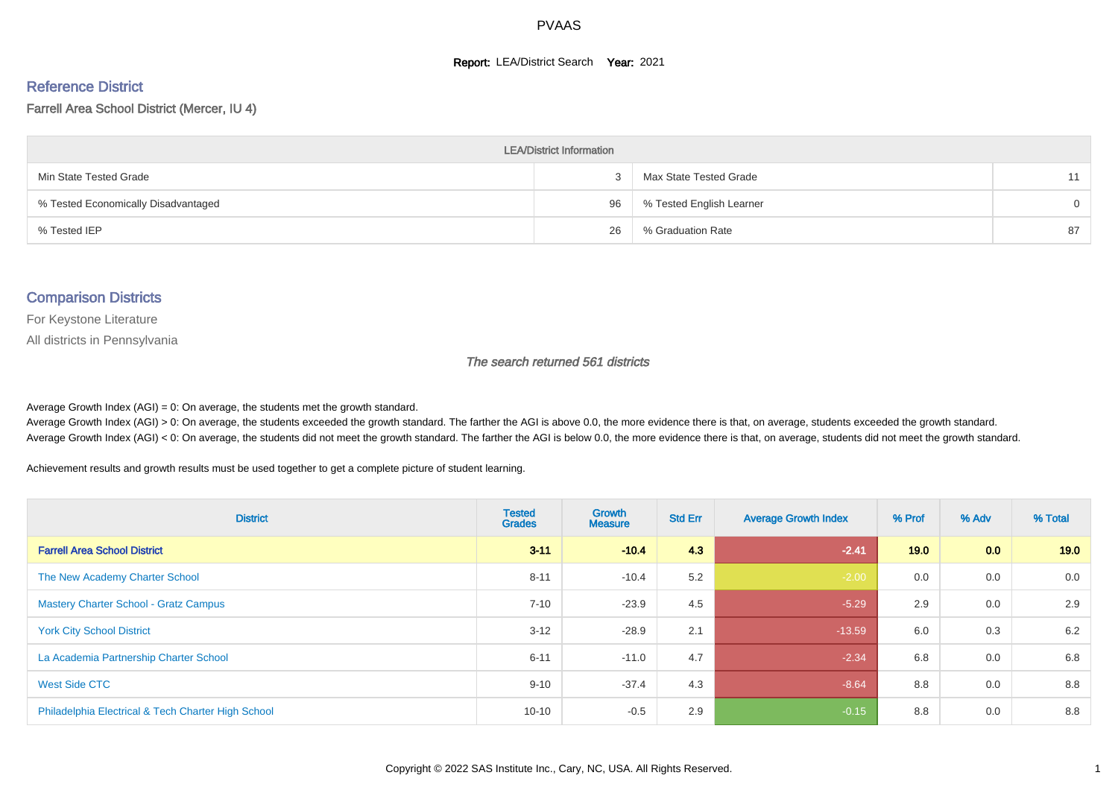#### **Report: LEA/District Search Year: 2021**

# Reference District

#### Farrell Area School District (Mercer, IU 4)

| <b>LEA/District Information</b>     |    |                          |          |  |  |  |  |  |  |
|-------------------------------------|----|--------------------------|----------|--|--|--|--|--|--|
| Min State Tested Grade              |    | Max State Tested Grade   | 11       |  |  |  |  |  |  |
| % Tested Economically Disadvantaged | 96 | % Tested English Learner | $\Omega$ |  |  |  |  |  |  |
| % Tested IEP                        | 26 | % Graduation Rate        | 87       |  |  |  |  |  |  |

#### Comparison Districts

For Keystone Literature

All districts in Pennsylvania

The search returned 561 districts

Average Growth Index  $(AGI) = 0$ : On average, the students met the growth standard.

Average Growth Index (AGI) > 0: On average, the students exceeded the growth standard. The farther the AGI is above 0.0, the more evidence there is that, on average, students exceeded the growth standard. Average Growth Index (AGI) < 0: On average, the students did not meet the growth standard. The farther the AGI is below 0.0, the more evidence there is that, on average, students did not meet the growth standard.

Achievement results and growth results must be used together to get a complete picture of student learning.

| <b>District</b>                                    | <b>Tested</b><br><b>Grades</b> | <b>Growth</b><br><b>Measure</b> | <b>Std Err</b> | <b>Average Growth Index</b> | % Prof | % Adv | % Total |
|----------------------------------------------------|--------------------------------|---------------------------------|----------------|-----------------------------|--------|-------|---------|
| <b>Farrell Area School District</b>                | $3 - 11$                       | $-10.4$                         | 4.3            | $-2.41$                     | 19.0   | 0.0   | 19.0    |
| The New Academy Charter School                     | $8 - 11$                       | $-10.4$                         | 5.2            | $-2.00$                     | 0.0    | 0.0   | 0.0     |
| <b>Mastery Charter School - Gratz Campus</b>       | $7 - 10$                       | $-23.9$                         | 4.5            | $-5.29$                     | 2.9    | 0.0   | 2.9     |
| <b>York City School District</b>                   | $3 - 12$                       | $-28.9$                         | 2.1            | $-13.59$                    | 6.0    | 0.3   | 6.2     |
| La Academia Partnership Charter School             | $6 - 11$                       | $-11.0$                         | 4.7            | $-2.34$                     | 6.8    | 0.0   | 6.8     |
| West Side CTC                                      | $9 - 10$                       | $-37.4$                         | 4.3            | $-8.64$                     | 8.8    | 0.0   | 8.8     |
| Philadelphia Electrical & Tech Charter High School | $10 - 10$                      | $-0.5$                          | 2.9            | $-0.15$                     | 8.8    | 0.0   | 8.8     |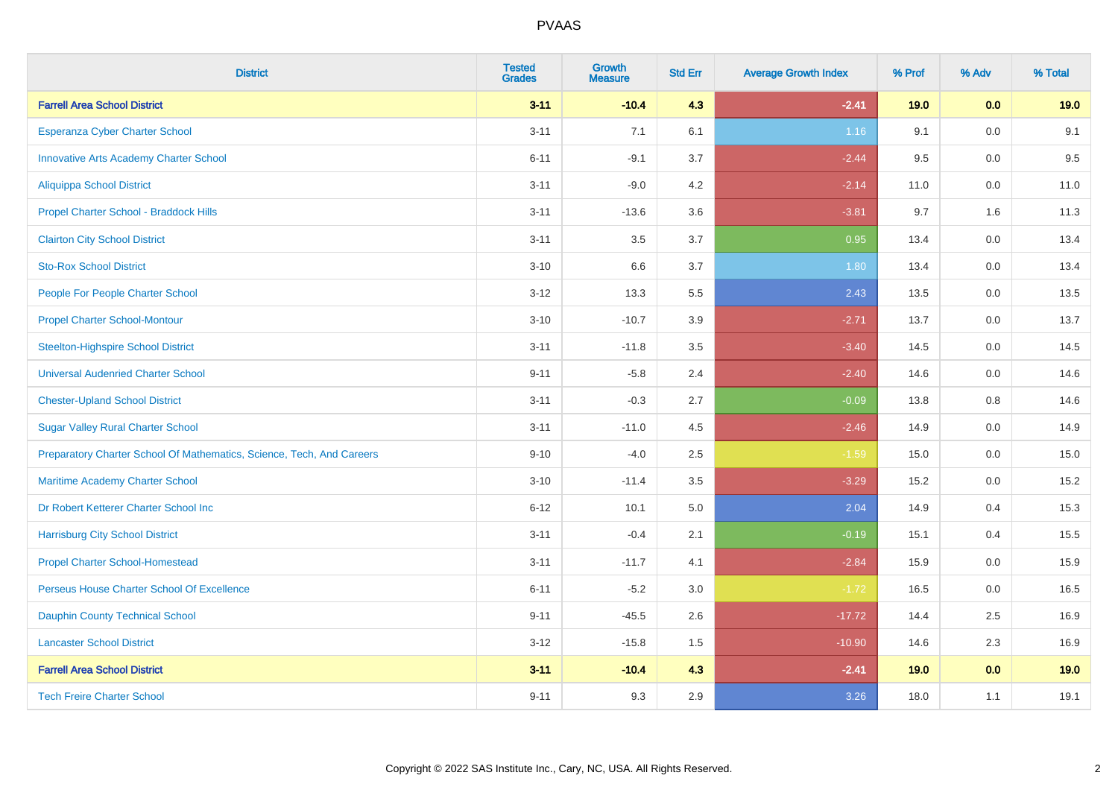| <b>District</b>                                                       | <b>Tested</b><br><b>Grades</b> | <b>Growth</b><br><b>Measure</b> | <b>Std Err</b> | <b>Average Growth Index</b> | % Prof | % Adv   | % Total |
|-----------------------------------------------------------------------|--------------------------------|---------------------------------|----------------|-----------------------------|--------|---------|---------|
| <b>Farrell Area School District</b>                                   | $3 - 11$                       | $-10.4$                         | 4.3            | $-2.41$                     | 19.0   | 0.0     | 19.0    |
| Esperanza Cyber Charter School                                        | $3 - 11$                       | 7.1                             | 6.1            | 1.16                        | 9.1    | 0.0     | 9.1     |
| <b>Innovative Arts Academy Charter School</b>                         | $6 - 11$                       | $-9.1$                          | 3.7            | $-2.44$                     | 9.5    | 0.0     | 9.5     |
| <b>Aliquippa School District</b>                                      | $3 - 11$                       | $-9.0$                          | 4.2            | $-2.14$                     | 11.0   | $0.0\,$ | 11.0    |
| Propel Charter School - Braddock Hills                                | $3 - 11$                       | $-13.6$                         | 3.6            | $-3.81$                     | 9.7    | 1.6     | 11.3    |
| <b>Clairton City School District</b>                                  | $3 - 11$                       | 3.5                             | 3.7            | 0.95                        | 13.4   | 0.0     | 13.4    |
| <b>Sto-Rox School District</b>                                        | $3 - 10$                       | 6.6                             | 3.7            | 1.80                        | 13.4   | $0.0\,$ | 13.4    |
| People For People Charter School                                      | $3 - 12$                       | 13.3                            | 5.5            | 2.43                        | 13.5   | 0.0     | 13.5    |
| <b>Propel Charter School-Montour</b>                                  | $3 - 10$                       | $-10.7$                         | 3.9            | $-2.71$                     | 13.7   | 0.0     | 13.7    |
| <b>Steelton-Highspire School District</b>                             | $3 - 11$                       | $-11.8$                         | 3.5            | $-3.40$                     | 14.5   | $0.0\,$ | 14.5    |
| <b>Universal Audenried Charter School</b>                             | $9 - 11$                       | $-5.8$                          | 2.4            | $-2.40$                     | 14.6   | 0.0     | 14.6    |
| <b>Chester-Upland School District</b>                                 | $3 - 11$                       | $-0.3$                          | 2.7            | $-0.09$                     | 13.8   | 0.8     | 14.6    |
| <b>Sugar Valley Rural Charter School</b>                              | $3 - 11$                       | $-11.0$                         | 4.5            | $-2.46$                     | 14.9   | 0.0     | 14.9    |
| Preparatory Charter School Of Mathematics, Science, Tech, And Careers | $9 - 10$                       | $-4.0$                          | 2.5            | $-1.59$                     | 15.0   | 0.0     | 15.0    |
| Maritime Academy Charter School                                       | $3 - 10$                       | $-11.4$                         | 3.5            | $-3.29$                     | 15.2   | 0.0     | 15.2    |
| Dr Robert Ketterer Charter School Inc                                 | $6 - 12$                       | 10.1                            | 5.0            | 2.04                        | 14.9   | 0.4     | 15.3    |
| <b>Harrisburg City School District</b>                                | $3 - 11$                       | $-0.4$                          | 2.1            | $-0.19$                     | 15.1   | 0.4     | 15.5    |
| <b>Propel Charter School-Homestead</b>                                | $3 - 11$                       | $-11.7$                         | 4.1            | $-2.84$                     | 15.9   | 0.0     | 15.9    |
| Perseus House Charter School Of Excellence                            | $6 - 11$                       | $-5.2$                          | 3.0            | $-1.72$                     | 16.5   | 0.0     | 16.5    |
| <b>Dauphin County Technical School</b>                                | $9 - 11$                       | $-45.5$                         | 2.6            | $-17.72$                    | 14.4   | 2.5     | 16.9    |
| <b>Lancaster School District</b>                                      | $3 - 12$                       | $-15.8$                         | $1.5\,$        | $-10.90$                    | 14.6   | 2.3     | 16.9    |
| <b>Farrell Area School District</b>                                   | $3 - 11$                       | $-10.4$                         | 4.3            | $-2.41$                     | 19.0   | 0.0     | 19.0    |
| <b>Tech Freire Charter School</b>                                     | $9 - 11$                       | 9.3                             | 2.9            | 3.26                        | 18.0   | 1.1     | 19.1    |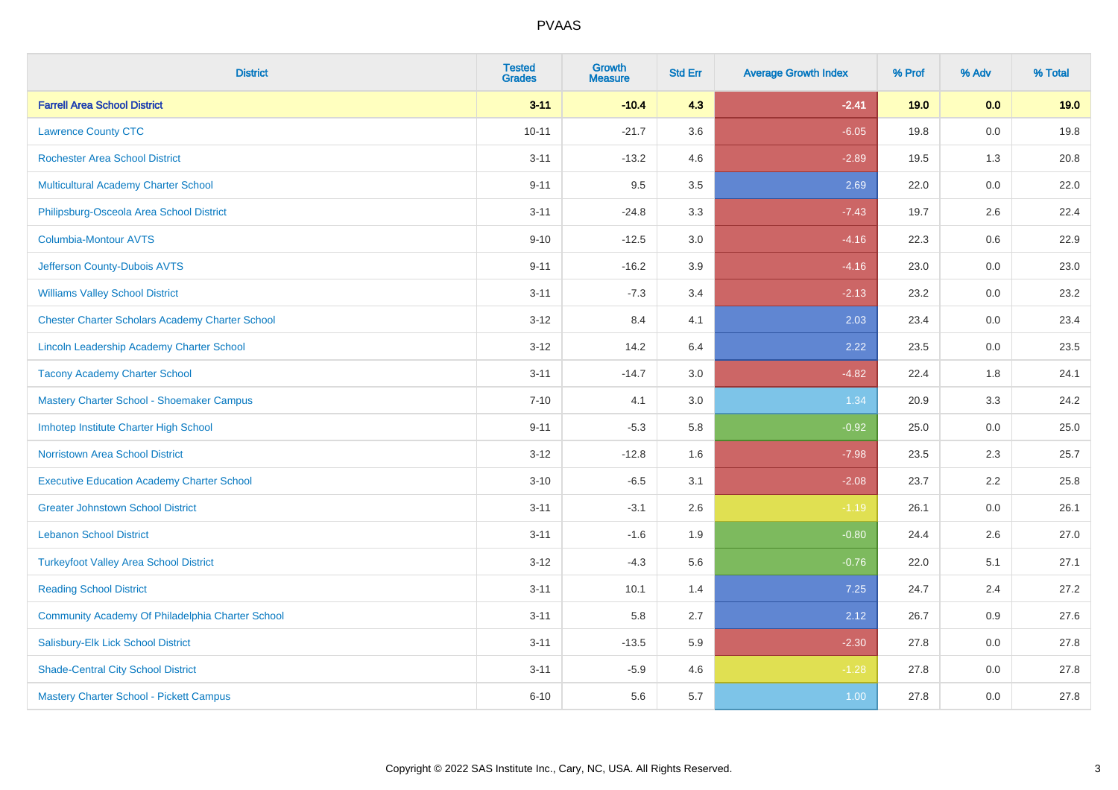| <b>District</b>                                        | <b>Tested</b><br><b>Grades</b> | <b>Growth</b><br><b>Measure</b> | <b>Std Err</b> | <b>Average Growth Index</b> | % Prof | % Adv   | % Total |
|--------------------------------------------------------|--------------------------------|---------------------------------|----------------|-----------------------------|--------|---------|---------|
| <b>Farrell Area School District</b>                    | $3 - 11$                       | $-10.4$                         | 4.3            | $-2.41$                     | 19.0   | 0.0     | 19.0    |
| <b>Lawrence County CTC</b>                             | $10 - 11$                      | $-21.7$                         | 3.6            | $-6.05$                     | 19.8   | 0.0     | 19.8    |
| <b>Rochester Area School District</b>                  | $3 - 11$                       | $-13.2$                         | 4.6            | $-2.89$                     | 19.5   | 1.3     | 20.8    |
| Multicultural Academy Charter School                   | $9 - 11$                       | 9.5                             | 3.5            | 2.69                        | 22.0   | $0.0\,$ | 22.0    |
| Philipsburg-Osceola Area School District               | $3 - 11$                       | $-24.8$                         | 3.3            | $-7.43$                     | 19.7   | 2.6     | 22.4    |
| <b>Columbia-Montour AVTS</b>                           | $9 - 10$                       | $-12.5$                         | 3.0            | $-4.16$                     | 22.3   | 0.6     | 22.9    |
| Jefferson County-Dubois AVTS                           | $9 - 11$                       | $-16.2$                         | 3.9            | $-4.16$                     | 23.0   | $0.0\,$ | 23.0    |
| <b>Williams Valley School District</b>                 | $3 - 11$                       | $-7.3$                          | 3.4            | $-2.13$                     | 23.2   | 0.0     | 23.2    |
| <b>Chester Charter Scholars Academy Charter School</b> | $3 - 12$                       | 8.4                             | 4.1            | 2.03                        | 23.4   | 0.0     | 23.4    |
| Lincoln Leadership Academy Charter School              | $3 - 12$                       | 14.2                            | 6.4            | 2.22                        | 23.5   | $0.0\,$ | 23.5    |
| <b>Tacony Academy Charter School</b>                   | $3 - 11$                       | $-14.7$                         | 3.0            | $-4.82$                     | 22.4   | 1.8     | 24.1    |
| Mastery Charter School - Shoemaker Campus              | $7 - 10$                       | 4.1                             | 3.0            | 1.34                        | 20.9   | 3.3     | 24.2    |
| Imhotep Institute Charter High School                  | $9 - 11$                       | $-5.3$                          | 5.8            | $-0.92$                     | 25.0   | 0.0     | 25.0    |
| <b>Norristown Area School District</b>                 | $3 - 12$                       | $-12.8$                         | 1.6            | $-7.98$                     | 23.5   | 2.3     | 25.7    |
| <b>Executive Education Academy Charter School</b>      | $3 - 10$                       | $-6.5$                          | 3.1            | $-2.08$                     | 23.7   | 2.2     | 25.8    |
| <b>Greater Johnstown School District</b>               | $3 - 11$                       | $-3.1$                          | 2.6            | $-1.19$                     | 26.1   | 0.0     | 26.1    |
| <b>Lebanon School District</b>                         | $3 - 11$                       | $-1.6$                          | 1.9            | $-0.80$                     | 24.4   | 2.6     | 27.0    |
| <b>Turkeyfoot Valley Area School District</b>          | $3 - 12$                       | $-4.3$                          | 5.6            | $-0.76$                     | 22.0   | 5.1     | 27.1    |
| <b>Reading School District</b>                         | $3 - 11$                       | 10.1                            | 1.4            | 7.25                        | 24.7   | 2.4     | 27.2    |
| Community Academy Of Philadelphia Charter School       | $3 - 11$                       | 5.8                             | 2.7            | 2.12                        | 26.7   | 0.9     | 27.6    |
| Salisbury-Elk Lick School District                     | $3 - 11$                       | $-13.5$                         | 5.9            | $-2.30$                     | 27.8   | 0.0     | 27.8    |
| <b>Shade-Central City School District</b>              | $3 - 11$                       | $-5.9$                          | 4.6            | $-1.28$                     | 27.8   | 0.0     | 27.8    |
| Mastery Charter School - Pickett Campus                | $6 - 10$                       | 5.6                             | 5.7            | 1.00                        | 27.8   | 0.0     | 27.8    |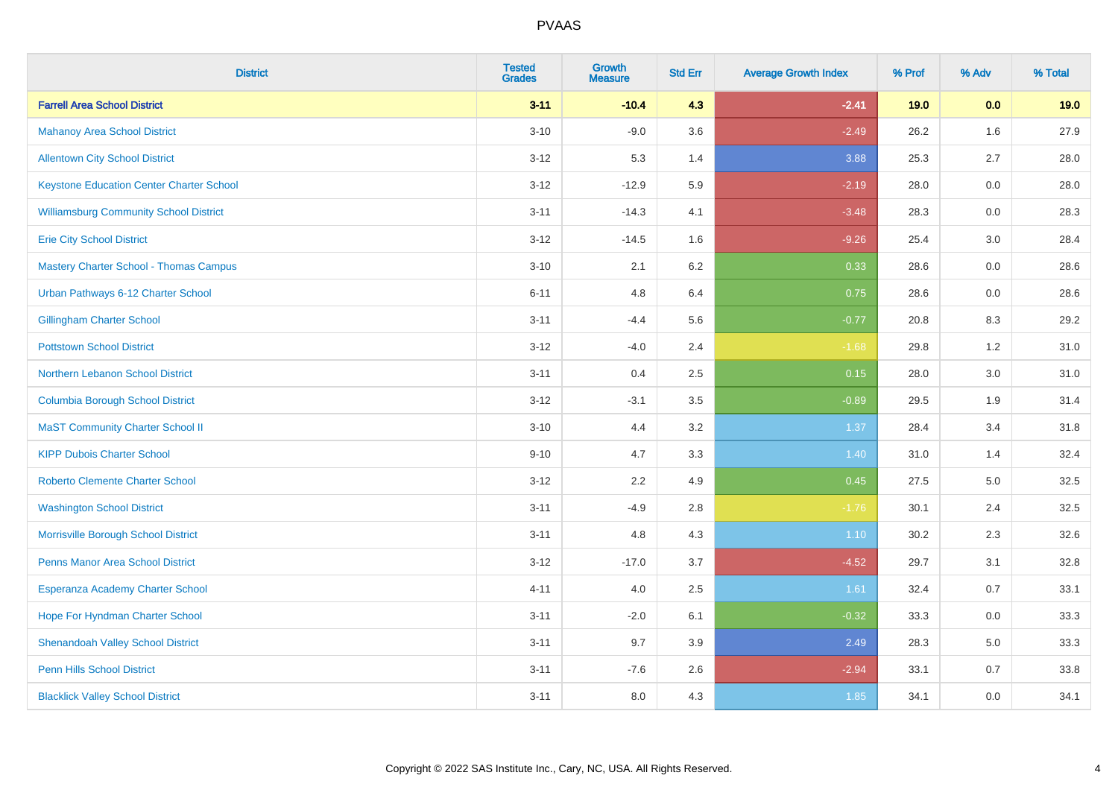| <b>District</b>                                 | <b>Tested</b><br><b>Grades</b> | <b>Growth</b><br><b>Measure</b> | <b>Std Err</b> | <b>Average Growth Index</b> | % Prof | % Adv | % Total |
|-------------------------------------------------|--------------------------------|---------------------------------|----------------|-----------------------------|--------|-------|---------|
| <b>Farrell Area School District</b>             | $3 - 11$                       | $-10.4$                         | 4.3            | $-2.41$                     | 19.0   | 0.0   | 19.0    |
| <b>Mahanoy Area School District</b>             | $3 - 10$                       | $-9.0$                          | 3.6            | $-2.49$                     | 26.2   | 1.6   | 27.9    |
| <b>Allentown City School District</b>           | $3 - 12$                       | 5.3                             | 1.4            | 3.88                        | 25.3   | 2.7   | 28.0    |
| <b>Keystone Education Center Charter School</b> | $3 - 12$                       | $-12.9$                         | 5.9            | $-2.19$                     | 28.0   | 0.0   | 28.0    |
| <b>Williamsburg Community School District</b>   | $3 - 11$                       | $-14.3$                         | 4.1            | $-3.48$                     | 28.3   | 0.0   | 28.3    |
| <b>Erie City School District</b>                | $3 - 12$                       | $-14.5$                         | 1.6            | $-9.26$                     | 25.4   | 3.0   | 28.4    |
| <b>Mastery Charter School - Thomas Campus</b>   | $3 - 10$                       | 2.1                             | 6.2            | 0.33                        | 28.6   | 0.0   | 28.6    |
| Urban Pathways 6-12 Charter School              | $6 - 11$                       | 4.8                             | 6.4            | 0.75                        | 28.6   | 0.0   | 28.6    |
| <b>Gillingham Charter School</b>                | $3 - 11$                       | $-4.4$                          | 5.6            | $-0.77$                     | 20.8   | 8.3   | 29.2    |
| <b>Pottstown School District</b>                | $3 - 12$                       | $-4.0$                          | 2.4            | $-1.68$                     | 29.8   | 1.2   | 31.0    |
| Northern Lebanon School District                | $3 - 11$                       | 0.4                             | 2.5            | 0.15                        | 28.0   | 3.0   | 31.0    |
| <b>Columbia Borough School District</b>         | $3 - 12$                       | $-3.1$                          | 3.5            | $-0.89$                     | 29.5   | 1.9   | 31.4    |
| <b>MaST Community Charter School II</b>         | $3 - 10$                       | 4.4                             | 3.2            | 1.37                        | 28.4   | 3.4   | 31.8    |
| <b>KIPP Dubois Charter School</b>               | $9 - 10$                       | 4.7                             | 3.3            | 1.40                        | 31.0   | 1.4   | 32.4    |
| <b>Roberto Clemente Charter School</b>          | $3 - 12$                       | 2.2                             | 4.9            | 0.45                        | 27.5   | 5.0   | 32.5    |
| <b>Washington School District</b>               | $3 - 11$                       | $-4.9$                          | 2.8            | $-1.76$                     | 30.1   | 2.4   | 32.5    |
| Morrisville Borough School District             | $3 - 11$                       | 4.8                             | 4.3            | $1.10$                      | 30.2   | 2.3   | 32.6    |
| Penns Manor Area School District                | $3 - 12$                       | $-17.0$                         | 3.7            | $-4.52$                     | 29.7   | 3.1   | 32.8    |
| Esperanza Academy Charter School                | $4 - 11$                       | 4.0                             | 2.5            | 1.61                        | 32.4   | 0.7   | 33.1    |
| Hope For Hyndman Charter School                 | $3 - 11$                       | $-2.0$                          | 6.1            | $-0.32$                     | 33.3   | 0.0   | 33.3    |
| <b>Shenandoah Valley School District</b>        | $3 - 11$                       | 9.7                             | 3.9            | 2.49                        | 28.3   | 5.0   | 33.3    |
| <b>Penn Hills School District</b>               | $3 - 11$                       | $-7.6$                          | 2.6            | $-2.94$                     | 33.1   | 0.7   | 33.8    |
| <b>Blacklick Valley School District</b>         | $3 - 11$                       | 8.0                             | 4.3            | 1.85                        | 34.1   | 0.0   | 34.1    |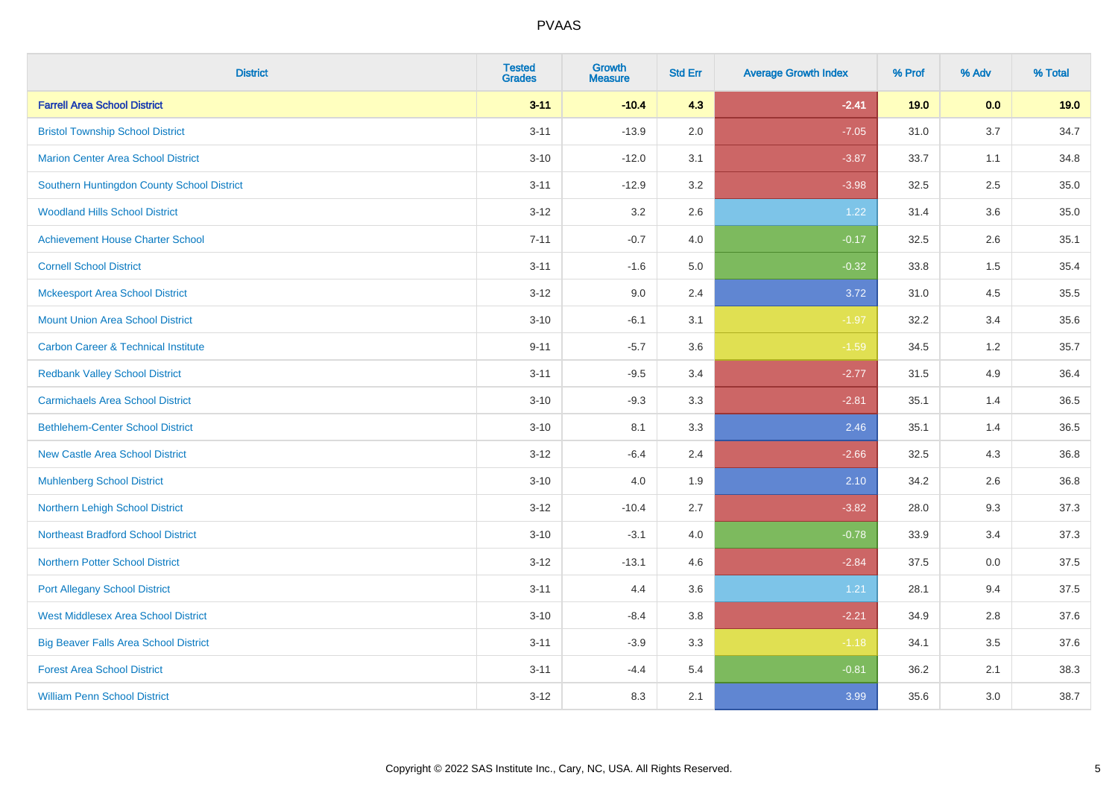| <b>District</b>                                | <b>Tested</b><br><b>Grades</b> | <b>Growth</b><br><b>Measure</b> | <b>Std Err</b> | <b>Average Growth Index</b> | % Prof | % Adv | % Total |
|------------------------------------------------|--------------------------------|---------------------------------|----------------|-----------------------------|--------|-------|---------|
| <b>Farrell Area School District</b>            | $3 - 11$                       | $-10.4$                         | 4.3            | $-2.41$                     | 19.0   | 0.0   | 19.0    |
| <b>Bristol Township School District</b>        | $3 - 11$                       | $-13.9$                         | 2.0            | $-7.05$                     | 31.0   | 3.7   | 34.7    |
| <b>Marion Center Area School District</b>      | $3 - 10$                       | $-12.0$                         | 3.1            | $-3.87$                     | 33.7   | 1.1   | 34.8    |
| Southern Huntingdon County School District     | $3 - 11$                       | $-12.9$                         | 3.2            | $-3.98$                     | 32.5   | 2.5   | 35.0    |
| <b>Woodland Hills School District</b>          | $3 - 12$                       | 3.2                             | 2.6            | 1.22                        | 31.4   | 3.6   | 35.0    |
| <b>Achievement House Charter School</b>        | $7 - 11$                       | $-0.7$                          | 4.0            | $-0.17$                     | 32.5   | 2.6   | 35.1    |
| <b>Cornell School District</b>                 | $3 - 11$                       | $-1.6$                          | 5.0            | $-0.32$                     | 33.8   | 1.5   | 35.4    |
| <b>Mckeesport Area School District</b>         | $3 - 12$                       | 9.0                             | 2.4            | 3.72                        | 31.0   | 4.5   | 35.5    |
| <b>Mount Union Area School District</b>        | $3 - 10$                       | $-6.1$                          | 3.1            | $-1.97$                     | 32.2   | 3.4   | 35.6    |
| <b>Carbon Career &amp; Technical Institute</b> | $9 - 11$                       | $-5.7$                          | 3.6            | $-1.59$                     | 34.5   | 1.2   | 35.7    |
| <b>Redbank Valley School District</b>          | $3 - 11$                       | $-9.5$                          | 3.4            | $-2.77$                     | 31.5   | 4.9   | 36.4    |
| <b>Carmichaels Area School District</b>        | $3 - 10$                       | $-9.3$                          | 3.3            | $-2.81$                     | 35.1   | 1.4   | 36.5    |
| <b>Bethlehem-Center School District</b>        | $3 - 10$                       | 8.1                             | 3.3            | 2.46                        | 35.1   | 1.4   | 36.5    |
| <b>New Castle Area School District</b>         | $3 - 12$                       | $-6.4$                          | 2.4            | $-2.66$                     | 32.5   | 4.3   | 36.8    |
| <b>Muhlenberg School District</b>              | $3 - 10$                       | 4.0                             | 1.9            | 2.10                        | 34.2   | 2.6   | 36.8    |
| Northern Lehigh School District                | $3 - 12$                       | $-10.4$                         | 2.7            | $-3.82$                     | 28.0   | 9.3   | 37.3    |
| <b>Northeast Bradford School District</b>      | $3 - 10$                       | $-3.1$                          | 4.0            | $-0.78$                     | 33.9   | 3.4   | 37.3    |
| <b>Northern Potter School District</b>         | $3 - 12$                       | $-13.1$                         | 4.6            | $-2.84$                     | 37.5   | 0.0   | 37.5    |
| <b>Port Allegany School District</b>           | $3 - 11$                       | 4.4                             | 3.6            | 1.21                        | 28.1   | 9.4   | 37.5    |
| <b>West Middlesex Area School District</b>     | $3 - 10$                       | $-8.4$                          | $3.8\,$        | $-2.21$                     | 34.9   | 2.8   | 37.6    |
| <b>Big Beaver Falls Area School District</b>   | $3 - 11$                       | $-3.9$                          | 3.3            | $-1.18$                     | 34.1   | 3.5   | 37.6    |
| <b>Forest Area School District</b>             | $3 - 11$                       | $-4.4$                          | 5.4            | $-0.81$                     | 36.2   | 2.1   | 38.3    |
| <b>William Penn School District</b>            | $3 - 12$                       | 8.3                             | 2.1            | 3.99                        | 35.6   | 3.0   | 38.7    |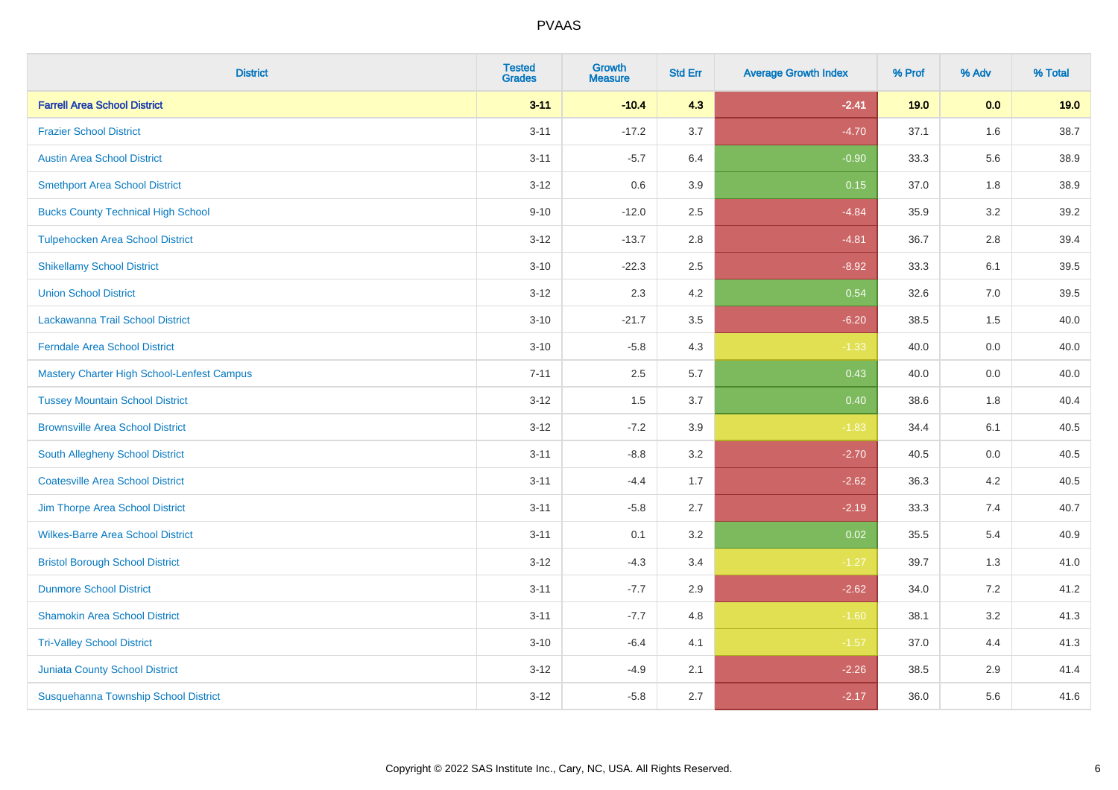| <b>District</b>                            | <b>Tested</b><br><b>Grades</b> | Growth<br><b>Measure</b> | <b>Std Err</b> | <b>Average Growth Index</b> | % Prof | % Adv   | % Total |
|--------------------------------------------|--------------------------------|--------------------------|----------------|-----------------------------|--------|---------|---------|
| <b>Farrell Area School District</b>        | $3 - 11$                       | $-10.4$                  | 4.3            | $-2.41$                     | 19.0   | 0.0     | 19.0    |
| <b>Frazier School District</b>             | $3 - 11$                       | $-17.2$                  | 3.7            | $-4.70$                     | 37.1   | 1.6     | 38.7    |
| <b>Austin Area School District</b>         | $3 - 11$                       | $-5.7$                   | 6.4            | $-0.90$                     | 33.3   | 5.6     | 38.9    |
| <b>Smethport Area School District</b>      | $3 - 12$                       | 0.6                      | 3.9            | 0.15                        | 37.0   | $1.8\,$ | 38.9    |
| <b>Bucks County Technical High School</b>  | $9 - 10$                       | $-12.0$                  | 2.5            | $-4.84$                     | 35.9   | 3.2     | 39.2    |
| <b>Tulpehocken Area School District</b>    | $3 - 12$                       | $-13.7$                  | 2.8            | $-4.81$                     | 36.7   | 2.8     | 39.4    |
| <b>Shikellamy School District</b>          | $3 - 10$                       | $-22.3$                  | 2.5            | $-8.92$                     | 33.3   | 6.1     | 39.5    |
| <b>Union School District</b>               | $3 - 12$                       | 2.3                      | 4.2            | 0.54                        | 32.6   | 7.0     | 39.5    |
| Lackawanna Trail School District           | $3 - 10$                       | $-21.7$                  | 3.5            | $-6.20$                     | 38.5   | 1.5     | 40.0    |
| <b>Ferndale Area School District</b>       | $3 - 10$                       | $-5.8$                   | 4.3            | $-1.33$                     | 40.0   | 0.0     | 40.0    |
| Mastery Charter High School-Lenfest Campus | $7 - 11$                       | 2.5                      | 5.7            | 0.43                        | 40.0   | 0.0     | 40.0    |
| <b>Tussey Mountain School District</b>     | $3 - 12$                       | 1.5                      | 3.7            | 0.40                        | 38.6   | 1.8     | 40.4    |
| <b>Brownsville Area School District</b>    | $3 - 12$                       | $-7.2$                   | 3.9            | $-1.83$                     | 34.4   | 6.1     | 40.5    |
| South Allegheny School District            | $3 - 11$                       | $-8.8$                   | 3.2            | $-2.70$                     | 40.5   | 0.0     | 40.5    |
| <b>Coatesville Area School District</b>    | $3 - 11$                       | $-4.4$                   | 1.7            | $-2.62$                     | 36.3   | 4.2     | 40.5    |
| Jim Thorpe Area School District            | $3 - 11$                       | $-5.8$                   | 2.7            | $-2.19$                     | 33.3   | 7.4     | 40.7    |
| <b>Wilkes-Barre Area School District</b>   | $3 - 11$                       | 0.1                      | 3.2            | 0.02                        | 35.5   | 5.4     | 40.9    |
| <b>Bristol Borough School District</b>     | $3 - 12$                       | $-4.3$                   | 3.4            | $-1.27$                     | 39.7   | 1.3     | 41.0    |
| <b>Dunmore School District</b>             | $3 - 11$                       | $-7.7$                   | 2.9            | $-2.62$                     | 34.0   | 7.2     | 41.2    |
| <b>Shamokin Area School District</b>       | $3 - 11$                       | $-7.7$                   | 4.8            | $-1.60$                     | 38.1   | 3.2     | 41.3    |
| <b>Tri-Valley School District</b>          | $3 - 10$                       | $-6.4$                   | 4.1            | $-1.57$                     | 37.0   | 4.4     | 41.3    |
| <b>Juniata County School District</b>      | $3 - 12$                       | $-4.9$                   | 2.1            | $-2.26$                     | 38.5   | 2.9     | 41.4    |
| Susquehanna Township School District       | $3 - 12$                       | $-5.8$                   | 2.7            | $-2.17$                     | 36.0   | 5.6     | 41.6    |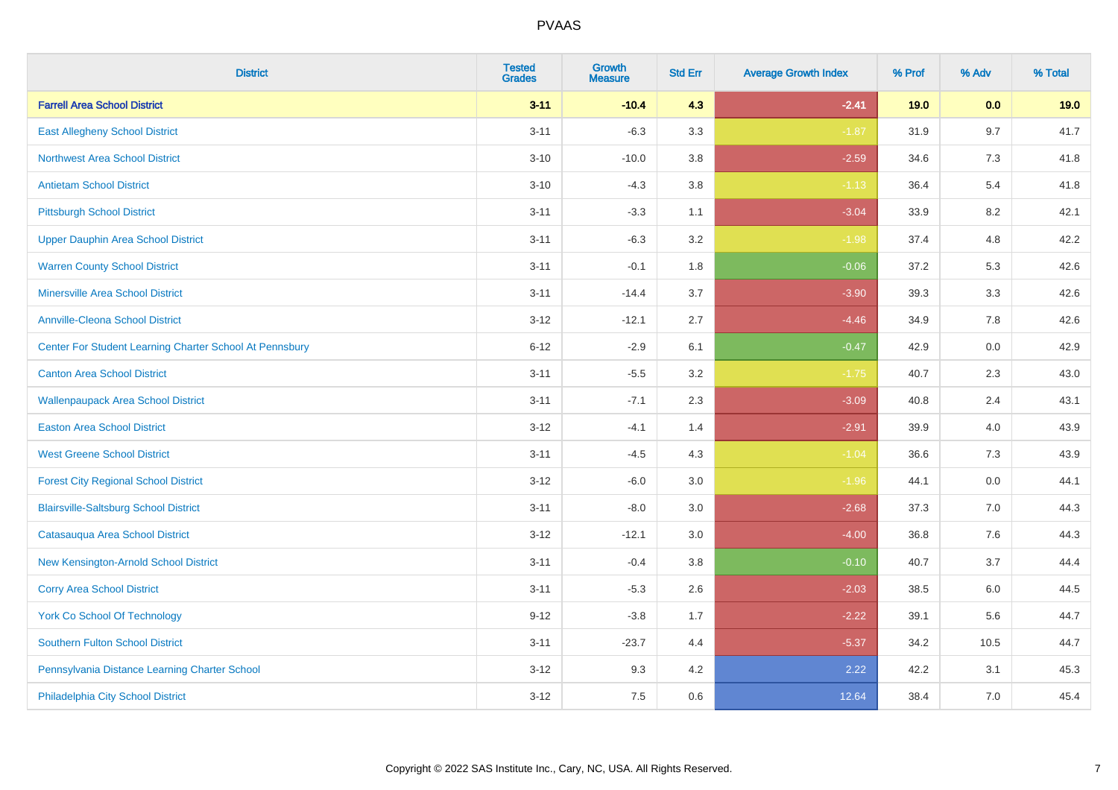| <b>District</b>                                         | <b>Tested</b><br><b>Grades</b> | <b>Growth</b><br><b>Measure</b> | <b>Std Err</b> | <b>Average Growth Index</b> | % Prof | % Adv | % Total |
|---------------------------------------------------------|--------------------------------|---------------------------------|----------------|-----------------------------|--------|-------|---------|
| <b>Farrell Area School District</b>                     | $3 - 11$                       | $-10.4$                         | 4.3            | $-2.41$                     | 19.0   | 0.0   | 19.0    |
| <b>East Allegheny School District</b>                   | $3 - 11$                       | $-6.3$                          | 3.3            | $-1.87$                     | 31.9   | 9.7   | 41.7    |
| <b>Northwest Area School District</b>                   | $3 - 10$                       | $-10.0$                         | 3.8            | $-2.59$                     | 34.6   | 7.3   | 41.8    |
| <b>Antietam School District</b>                         | $3 - 10$                       | $-4.3$                          | $3.8\,$        | $-1.13$                     | 36.4   | 5.4   | 41.8    |
| <b>Pittsburgh School District</b>                       | $3 - 11$                       | $-3.3$                          | 1.1            | $-3.04$                     | 33.9   | 8.2   | 42.1    |
| <b>Upper Dauphin Area School District</b>               | $3 - 11$                       | $-6.3$                          | 3.2            | $-1.98$                     | 37.4   | 4.8   | 42.2    |
| <b>Warren County School District</b>                    | $3 - 11$                       | $-0.1$                          | 1.8            | $-0.06$                     | 37.2   | 5.3   | 42.6    |
| <b>Minersville Area School District</b>                 | $3 - 11$                       | $-14.4$                         | 3.7            | $-3.90$                     | 39.3   | 3.3   | 42.6    |
| <b>Annville-Cleona School District</b>                  | $3 - 12$                       | $-12.1$                         | 2.7            | $-4.46$                     | 34.9   | 7.8   | 42.6    |
| Center For Student Learning Charter School At Pennsbury | $6 - 12$                       | $-2.9$                          | 6.1            | $-0.47$                     | 42.9   | 0.0   | 42.9    |
| <b>Canton Area School District</b>                      | $3 - 11$                       | $-5.5$                          | 3.2            | $-1.75$                     | 40.7   | 2.3   | 43.0    |
| <b>Wallenpaupack Area School District</b>               | $3 - 11$                       | $-7.1$                          | 2.3            | $-3.09$                     | 40.8   | 2.4   | 43.1    |
| <b>Easton Area School District</b>                      | $3 - 12$                       | $-4.1$                          | 1.4            | $-2.91$                     | 39.9   | 4.0   | 43.9    |
| <b>West Greene School District</b>                      | $3 - 11$                       | $-4.5$                          | 4.3            | $-1.04$                     | 36.6   | $7.3$ | 43.9    |
| <b>Forest City Regional School District</b>             | $3 - 12$                       | $-6.0$                          | 3.0            | $-1.96$                     | 44.1   | 0.0   | 44.1    |
| <b>Blairsville-Saltsburg School District</b>            | $3 - 11$                       | $-8.0$                          | 3.0            | $-2.68$                     | 37.3   | 7.0   | 44.3    |
| Catasauqua Area School District                         | $3 - 12$                       | $-12.1$                         | 3.0            | $-4.00$                     | 36.8   | 7.6   | 44.3    |
| New Kensington-Arnold School District                   | $3 - 11$                       | $-0.4$                          | 3.8            | $-0.10$                     | 40.7   | 3.7   | 44.4    |
| <b>Corry Area School District</b>                       | $3 - 11$                       | $-5.3$                          | 2.6            | $-2.03$                     | 38.5   | 6.0   | 44.5    |
| <b>York Co School Of Technology</b>                     | $9 - 12$                       | $-3.8$                          | 1.7            | $-2.22$                     | 39.1   | 5.6   | 44.7    |
| <b>Southern Fulton School District</b>                  | $3 - 11$                       | $-23.7$                         | 4.4            | $-5.37$                     | 34.2   | 10.5  | 44.7    |
| Pennsylvania Distance Learning Charter School           | $3 - 12$                       | 9.3                             | 4.2            | 2.22                        | 42.2   | 3.1   | 45.3    |
| Philadelphia City School District                       | $3 - 12$                       | 7.5                             | 0.6            | 12.64                       | 38.4   | 7.0   | 45.4    |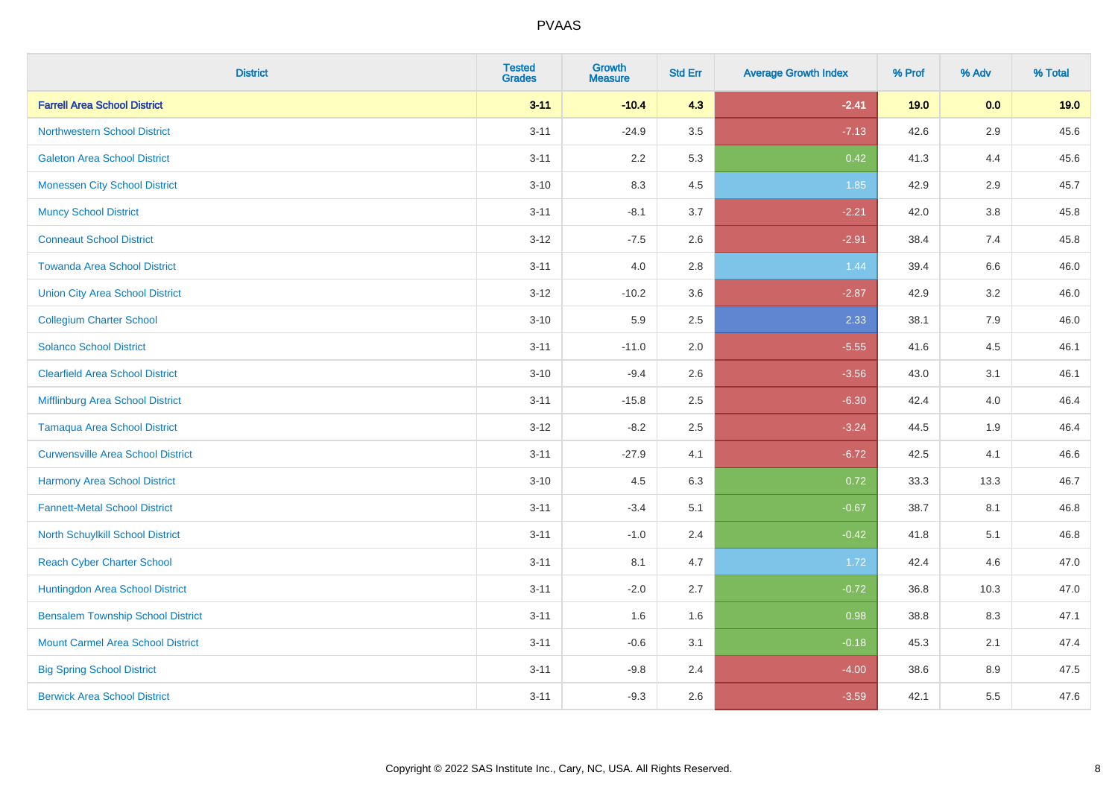| <b>District</b>                          | <b>Tested</b><br><b>Grades</b> | <b>Growth</b><br><b>Measure</b> | <b>Std Err</b> | <b>Average Growth Index</b> | % Prof | % Adv | % Total |
|------------------------------------------|--------------------------------|---------------------------------|----------------|-----------------------------|--------|-------|---------|
| <b>Farrell Area School District</b>      | $3 - 11$                       | $-10.4$                         | 4.3            | $-2.41$                     | 19.0   | 0.0   | 19.0    |
| <b>Northwestern School District</b>      | $3 - 11$                       | $-24.9$                         | 3.5            | $-7.13$                     | 42.6   | 2.9   | 45.6    |
| <b>Galeton Area School District</b>      | $3 - 11$                       | 2.2                             | 5.3            | 0.42                        | 41.3   | 4.4   | 45.6    |
| <b>Monessen City School District</b>     | $3 - 10$                       | 8.3                             | 4.5            | 1.85                        | 42.9   | 2.9   | 45.7    |
| <b>Muncy School District</b>             | $3 - 11$                       | $-8.1$                          | 3.7            | $-2.21$                     | 42.0   | 3.8   | 45.8    |
| <b>Conneaut School District</b>          | $3 - 12$                       | $-7.5$                          | 2.6            | $-2.91$                     | 38.4   | 7.4   | 45.8    |
| <b>Towanda Area School District</b>      | $3 - 11$                       | 4.0                             | 2.8            | 1.44                        | 39.4   | 6.6   | 46.0    |
| <b>Union City Area School District</b>   | $3-12$                         | $-10.2$                         | 3.6            | $-2.87$                     | 42.9   | 3.2   | 46.0    |
| <b>Collegium Charter School</b>          | $3 - 10$                       | 5.9                             | 2.5            | 2.33                        | 38.1   | 7.9   | 46.0    |
| <b>Solanco School District</b>           | $3 - 11$                       | $-11.0$                         | 2.0            | $-5.55$                     | 41.6   | 4.5   | 46.1    |
| <b>Clearfield Area School District</b>   | $3 - 10$                       | $-9.4$                          | 2.6            | $-3.56$                     | 43.0   | 3.1   | 46.1    |
| Mifflinburg Area School District         | $3 - 11$                       | $-15.8$                         | 2.5            | $-6.30$                     | 42.4   | 4.0   | 46.4    |
| <b>Tamaqua Area School District</b>      | $3 - 12$                       | $-8.2$                          | 2.5            | $-3.24$                     | 44.5   | 1.9   | 46.4    |
| <b>Curwensville Area School District</b> | $3 - 11$                       | $-27.9$                         | 4.1            | $-6.72$                     | 42.5   | 4.1   | 46.6    |
| Harmony Area School District             | $3 - 10$                       | 4.5                             | 6.3            | 0.72                        | 33.3   | 13.3  | 46.7    |
| <b>Fannett-Metal School District</b>     | $3 - 11$                       | $-3.4$                          | 5.1            | $-0.67$                     | 38.7   | 8.1   | 46.8    |
| <b>North Schuylkill School District</b>  | $3 - 11$                       | $-1.0$                          | 2.4            | $-0.42$                     | 41.8   | 5.1   | 46.8    |
| <b>Reach Cyber Charter School</b>        | $3 - 11$                       | 8.1                             | 4.7            | 1.72                        | 42.4   | 4.6   | 47.0    |
| Huntingdon Area School District          | $3 - 11$                       | $-2.0$                          | 2.7            | $-0.72$                     | 36.8   | 10.3  | 47.0    |
| <b>Bensalem Township School District</b> | $3 - 11$                       | 1.6                             | 1.6            | 0.98                        | 38.8   | 8.3   | 47.1    |
| <b>Mount Carmel Area School District</b> | $3 - 11$                       | $-0.6$                          | 3.1            | $-0.18$                     | 45.3   | 2.1   | 47.4    |
| <b>Big Spring School District</b>        | $3 - 11$                       | $-9.8$                          | 2.4            | $-4.00$                     | 38.6   | 8.9   | 47.5    |
| <b>Berwick Area School District</b>      | $3 - 11$                       | $-9.3$                          | 2.6            | $-3.59$                     | 42.1   | 5.5   | 47.6    |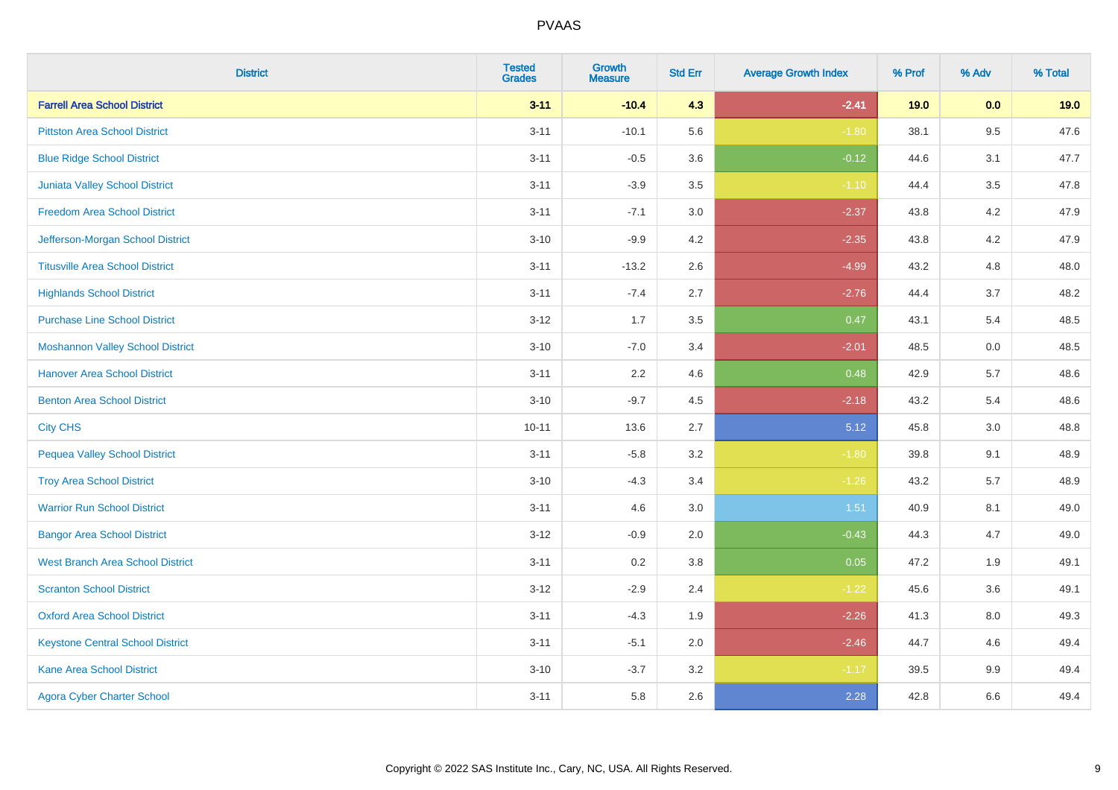| <b>District</b>                         | <b>Tested</b><br><b>Grades</b> | Growth<br><b>Measure</b> | <b>Std Err</b> | <b>Average Growth Index</b> | % Prof | % Adv   | % Total |
|-----------------------------------------|--------------------------------|--------------------------|----------------|-----------------------------|--------|---------|---------|
| <b>Farrell Area School District</b>     | $3 - 11$                       | $-10.4$                  | 4.3            | $-2.41$                     | 19.0   | 0.0     | 19.0    |
| <b>Pittston Area School District</b>    | $3 - 11$                       | $-10.1$                  | 5.6            | $-1.80$                     | 38.1   | $9.5\,$ | 47.6    |
| <b>Blue Ridge School District</b>       | $3 - 11$                       | $-0.5$                   | 3.6            | $-0.12$                     | 44.6   | 3.1     | 47.7    |
| <b>Juniata Valley School District</b>   | $3 - 11$                       | $-3.9$                   | 3.5            | $-1.10$                     | 44.4   | 3.5     | 47.8    |
| <b>Freedom Area School District</b>     | $3 - 11$                       | $-7.1$                   | 3.0            | $-2.37$                     | 43.8   | 4.2     | 47.9    |
| Jefferson-Morgan School District        | $3 - 10$                       | $-9.9$                   | 4.2            | $-2.35$                     | 43.8   | 4.2     | 47.9    |
| <b>Titusville Area School District</b>  | $3 - 11$                       | $-13.2$                  | 2.6            | $-4.99$                     | 43.2   | 4.8     | 48.0    |
| <b>Highlands School District</b>        | $3 - 11$                       | $-7.4$                   | 2.7            | $-2.76$                     | 44.4   | 3.7     | 48.2    |
| <b>Purchase Line School District</b>    | $3 - 12$                       | 1.7                      | 3.5            | 0.47                        | 43.1   | 5.4     | 48.5    |
| <b>Moshannon Valley School District</b> | $3 - 10$                       | $-7.0$                   | 3.4            | $-2.01$                     | 48.5   | 0.0     | 48.5    |
| <b>Hanover Area School District</b>     | $3 - 11$                       | 2.2                      | 4.6            | 0.48                        | 42.9   | 5.7     | 48.6    |
| <b>Benton Area School District</b>      | $3 - 10$                       | $-9.7$                   | 4.5            | $-2.18$                     | 43.2   | 5.4     | 48.6    |
| <b>City CHS</b>                         | $10 - 11$                      | 13.6                     | 2.7            | 5.12                        | 45.8   | 3.0     | 48.8    |
| <b>Pequea Valley School District</b>    | $3 - 11$                       | $-5.8$                   | 3.2            | $-1.80$                     | 39.8   | 9.1     | 48.9    |
| <b>Troy Area School District</b>        | $3 - 10$                       | $-4.3$                   | 3.4            | $-1.26$                     | 43.2   | 5.7     | 48.9    |
| <b>Warrior Run School District</b>      | $3 - 11$                       | 4.6                      | 3.0            | 1.51                        | 40.9   | 8.1     | 49.0    |
| <b>Bangor Area School District</b>      | $3 - 12$                       | $-0.9$                   | 2.0            | $-0.43$                     | 44.3   | 4.7     | 49.0    |
| <b>West Branch Area School District</b> | $3 - 11$                       | 0.2                      | 3.8            | 0.05                        | 47.2   | 1.9     | 49.1    |
| <b>Scranton School District</b>         | $3 - 12$                       | $-2.9$                   | 2.4            | $-1.22$                     | 45.6   | 3.6     | 49.1    |
| <b>Oxford Area School District</b>      | $3 - 11$                       | $-4.3$                   | 1.9            | $-2.26$                     | 41.3   | 8.0     | 49.3    |
| <b>Keystone Central School District</b> | $3 - 11$                       | $-5.1$                   | 2.0            | $-2.46$                     | 44.7   | 4.6     | 49.4    |
| Kane Area School District               | $3 - 10$                       | $-3.7$                   | 3.2            | $-1.17$                     | 39.5   | $9.9\,$ | 49.4    |
| <b>Agora Cyber Charter School</b>       | $3 - 11$                       | 5.8                      | 2.6            | 2.28                        | 42.8   | 6.6     | 49.4    |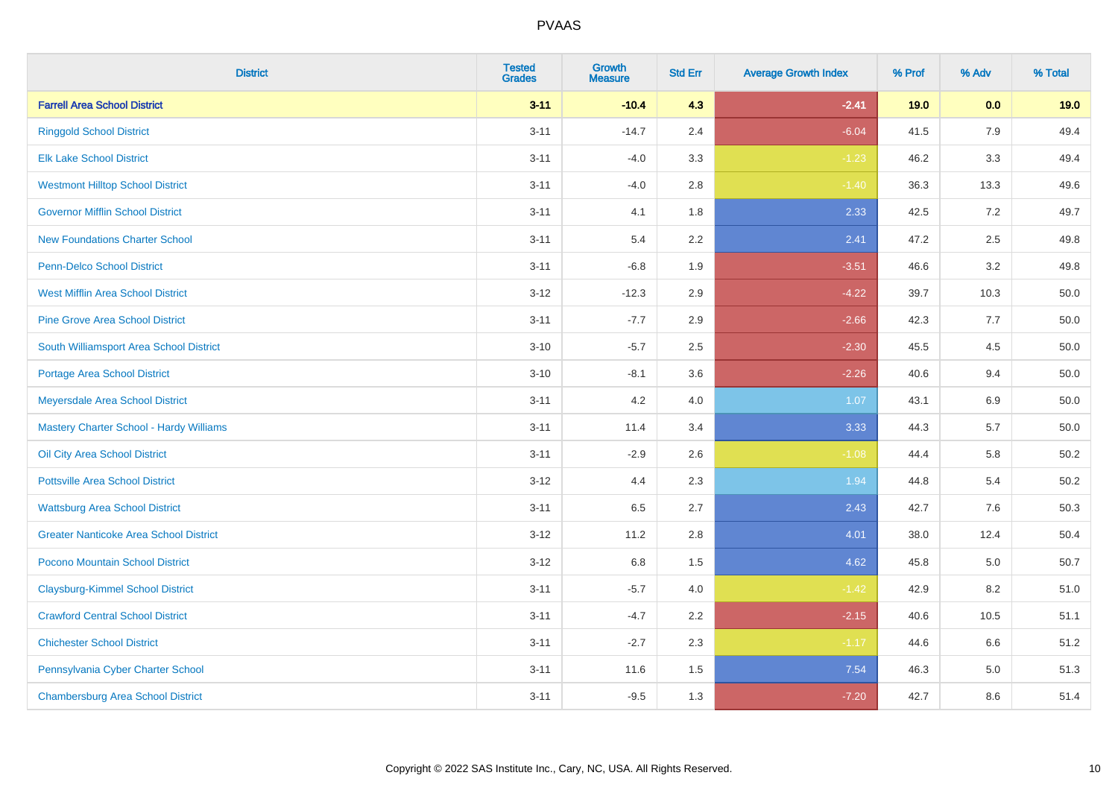| <b>District</b>                               | <b>Tested</b><br><b>Grades</b> | <b>Growth</b><br><b>Measure</b> | <b>Std Err</b> | <b>Average Growth Index</b> | % Prof | % Adv   | % Total  |
|-----------------------------------------------|--------------------------------|---------------------------------|----------------|-----------------------------|--------|---------|----------|
| <b>Farrell Area School District</b>           | $3 - 11$                       | $-10.4$                         | 4.3            | $-2.41$                     | 19.0   | 0.0     | 19.0     |
| <b>Ringgold School District</b>               | $3 - 11$                       | $-14.7$                         | 2.4            | $-6.04$                     | 41.5   | 7.9     | 49.4     |
| <b>Elk Lake School District</b>               | $3 - 11$                       | $-4.0$                          | 3.3            | $-1.23$                     | 46.2   | 3.3     | 49.4     |
| <b>Westmont Hilltop School District</b>       | $3 - 11$                       | $-4.0$                          | $2.8\,$        | $-1.40$                     | 36.3   | 13.3    | 49.6     |
| <b>Governor Mifflin School District</b>       | $3 - 11$                       | 4.1                             | 1.8            | 2.33                        | 42.5   | 7.2     | 49.7     |
| <b>New Foundations Charter School</b>         | $3 - 11$                       | 5.4                             | 2.2            | 2.41                        | 47.2   | 2.5     | 49.8     |
| Penn-Delco School District                    | $3 - 11$                       | $-6.8$                          | 1.9            | $-3.51$                     | 46.6   | 3.2     | 49.8     |
| <b>West Mifflin Area School District</b>      | $3 - 12$                       | $-12.3$                         | 2.9            | $-4.22$                     | 39.7   | 10.3    | 50.0     |
| <b>Pine Grove Area School District</b>        | $3 - 11$                       | $-7.7$                          | 2.9            | $-2.66$                     | 42.3   | 7.7     | 50.0     |
| South Williamsport Area School District       | $3 - 10$                       | $-5.7$                          | 2.5            | $-2.30$                     | 45.5   | 4.5     | 50.0     |
| <b>Portage Area School District</b>           | $3 - 10$                       | $-8.1$                          | 3.6            | $-2.26$                     | 40.6   | 9.4     | 50.0     |
| Meyersdale Area School District               | $3 - 11$                       | 4.2                             | 4.0            | 1.07                        | 43.1   | 6.9     | 50.0     |
| Mastery Charter School - Hardy Williams       | $3 - 11$                       | 11.4                            | 3.4            | 3.33                        | 44.3   | 5.7     | $50.0\,$ |
| Oil City Area School District                 | $3 - 11$                       | $-2.9$                          | 2.6            | $-1.08$                     | 44.4   | 5.8     | 50.2     |
| <b>Pottsville Area School District</b>        | $3 - 12$                       | 4.4                             | 2.3            | 1.94                        | 44.8   | 5.4     | 50.2     |
| <b>Wattsburg Area School District</b>         | $3 - 11$                       | 6.5                             | 2.7            | 2.43                        | 42.7   | 7.6     | 50.3     |
| <b>Greater Nanticoke Area School District</b> | $3 - 12$                       | 11.2                            | 2.8            | 4.01                        | 38.0   | 12.4    | 50.4     |
| Pocono Mountain School District               | $3 - 12$                       | 6.8                             | 1.5            | 4.62                        | 45.8   | 5.0     | 50.7     |
| <b>Claysburg-Kimmel School District</b>       | $3 - 11$                       | $-5.7$                          | 4.0            | $-1.42$                     | 42.9   | 8.2     | 51.0     |
| <b>Crawford Central School District</b>       | $3 - 11$                       | $-4.7$                          | 2.2            | $-2.15$                     | 40.6   | 10.5    | 51.1     |
| <b>Chichester School District</b>             | $3 - 11$                       | $-2.7$                          | 2.3            | $-1.17$                     | 44.6   | 6.6     | 51.2     |
| Pennsylvania Cyber Charter School             | $3 - 11$                       | 11.6                            | 1.5            | 7.54                        | 46.3   | $5.0\,$ | 51.3     |
| <b>Chambersburg Area School District</b>      | $3 - 11$                       | $-9.5$                          | 1.3            | $-7.20$                     | 42.7   | 8.6     | 51.4     |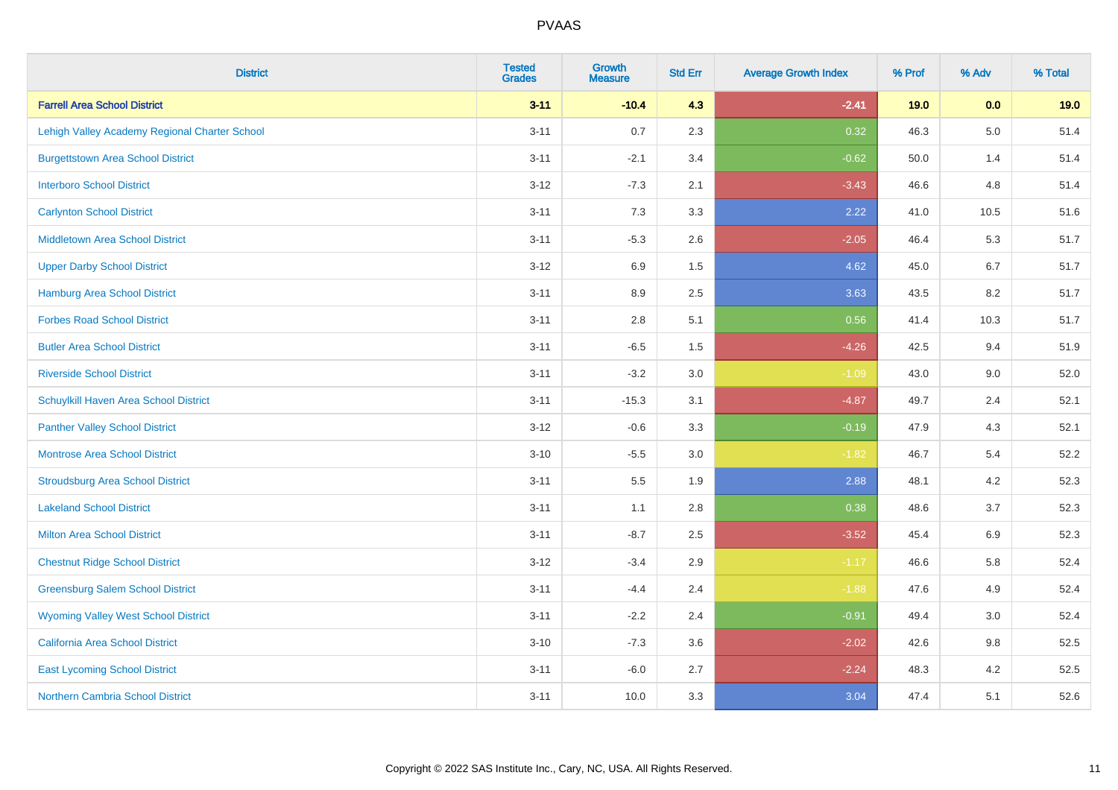| <b>District</b>                               | <b>Tested</b><br><b>Grades</b> | <b>Growth</b><br><b>Measure</b> | <b>Std Err</b> | <b>Average Growth Index</b> | % Prof | % Adv   | % Total |
|-----------------------------------------------|--------------------------------|---------------------------------|----------------|-----------------------------|--------|---------|---------|
| <b>Farrell Area School District</b>           | $3 - 11$                       | $-10.4$                         | 4.3            | $-2.41$                     | 19.0   | 0.0     | 19.0    |
| Lehigh Valley Academy Regional Charter School | $3 - 11$                       | 0.7                             | 2.3            | 0.32                        | 46.3   | $5.0\,$ | 51.4    |
| <b>Burgettstown Area School District</b>      | $3 - 11$                       | $-2.1$                          | 3.4            | $-0.62$                     | 50.0   | 1.4     | 51.4    |
| <b>Interboro School District</b>              | $3 - 12$                       | $-7.3$                          | 2.1            | $-3.43$                     | 46.6   | 4.8     | 51.4    |
| <b>Carlynton School District</b>              | $3 - 11$                       | 7.3                             | 3.3            | 2.22                        | 41.0   | 10.5    | 51.6    |
| <b>Middletown Area School District</b>        | $3 - 11$                       | $-5.3$                          | 2.6            | $-2.05$                     | 46.4   | 5.3     | 51.7    |
| <b>Upper Darby School District</b>            | $3 - 12$                       | 6.9                             | 1.5            | 4.62                        | 45.0   | 6.7     | 51.7    |
| <b>Hamburg Area School District</b>           | $3 - 11$                       | 8.9                             | 2.5            | 3.63                        | 43.5   | 8.2     | 51.7    |
| <b>Forbes Road School District</b>            | $3 - 11$                       | 2.8                             | 5.1            | 0.56                        | 41.4   | 10.3    | 51.7    |
| <b>Butler Area School District</b>            | $3 - 11$                       | $-6.5$                          | $1.5$          | $-4.26$                     | 42.5   | 9.4     | 51.9    |
| <b>Riverside School District</b>              | $3 - 11$                       | $-3.2$                          | 3.0            | $-1.09$                     | 43.0   | 9.0     | 52.0    |
| Schuylkill Haven Area School District         | $3 - 11$                       | $-15.3$                         | 3.1            | $-4.87$                     | 49.7   | 2.4     | 52.1    |
| <b>Panther Valley School District</b>         | $3 - 12$                       | $-0.6$                          | 3.3            | $-0.19$                     | 47.9   | 4.3     | 52.1    |
| Montrose Area School District                 | $3 - 10$                       | $-5.5$                          | 3.0            | $-1.82$                     | 46.7   | 5.4     | 52.2    |
| <b>Stroudsburg Area School District</b>       | $3 - 11$                       | 5.5                             | 1.9            | 2.88                        | 48.1   | 4.2     | 52.3    |
| <b>Lakeland School District</b>               | $3 - 11$                       | 1.1                             | 2.8            | 0.38                        | 48.6   | 3.7     | 52.3    |
| <b>Milton Area School District</b>            | $3 - 11$                       | $-8.7$                          | 2.5            | $-3.52$                     | 45.4   | 6.9     | 52.3    |
| <b>Chestnut Ridge School District</b>         | $3 - 12$                       | $-3.4$                          | 2.9            | $-1.17$                     | 46.6   | 5.8     | 52.4    |
| <b>Greensburg Salem School District</b>       | $3 - 11$                       | $-4.4$                          | 2.4            | $-1.88$                     | 47.6   | 4.9     | 52.4    |
| <b>Wyoming Valley West School District</b>    | $3 - 11$                       | $-2.2$                          | 2.4            | $-0.91$                     | 49.4   | 3.0     | 52.4    |
| <b>California Area School District</b>        | $3 - 10$                       | $-7.3$                          | 3.6            | $-2.02$                     | 42.6   | $9.8\,$ | 52.5    |
| <b>East Lycoming School District</b>          | $3 - 11$                       | $-6.0$                          | 2.7            | $-2.24$                     | 48.3   | 4.2     | 52.5    |
| <b>Northern Cambria School District</b>       | $3 - 11$                       | 10.0                            | 3.3            | 3.04                        | 47.4   | 5.1     | 52.6    |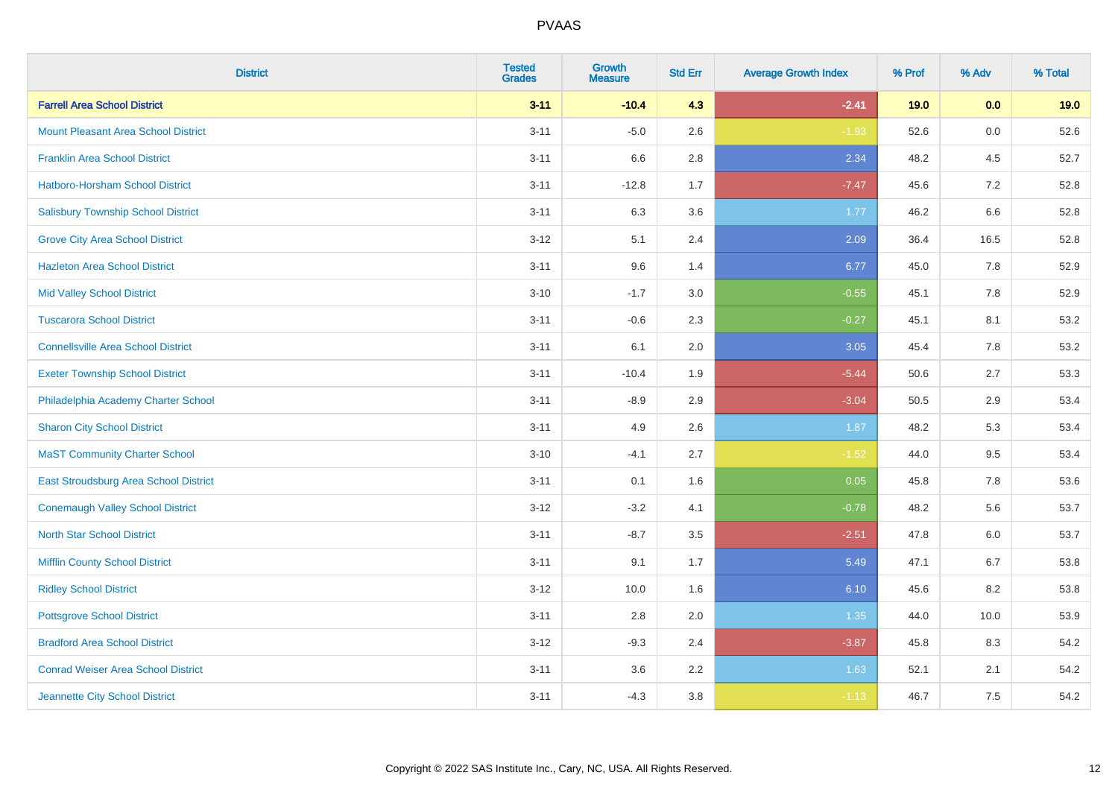| <b>District</b>                            | <b>Tested</b><br><b>Grades</b> | <b>Growth</b><br><b>Measure</b> | <b>Std Err</b> | <b>Average Growth Index</b> | % Prof | % Adv | % Total |
|--------------------------------------------|--------------------------------|---------------------------------|----------------|-----------------------------|--------|-------|---------|
| <b>Farrell Area School District</b>        | $3 - 11$                       | $-10.4$                         | 4.3            | $-2.41$                     | 19.0   | 0.0   | 19.0    |
| <b>Mount Pleasant Area School District</b> | $3 - 11$                       | $-5.0$                          | 2.6            | $-1.93$                     | 52.6   | 0.0   | 52.6    |
| <b>Franklin Area School District</b>       | $3 - 11$                       | 6.6                             | 2.8            | 2.34                        | 48.2   | 4.5   | 52.7    |
| <b>Hatboro-Horsham School District</b>     | $3 - 11$                       | $-12.8$                         | 1.7            | $-7.47$                     | 45.6   | 7.2   | 52.8    |
| <b>Salisbury Township School District</b>  | $3 - 11$                       | 6.3                             | 3.6            | 1.77                        | 46.2   | 6.6   | 52.8    |
| <b>Grove City Area School District</b>     | $3 - 12$                       | 5.1                             | 2.4            | 2.09                        | 36.4   | 16.5  | 52.8    |
| <b>Hazleton Area School District</b>       | $3 - 11$                       | 9.6                             | 1.4            | 6.77                        | 45.0   | 7.8   | 52.9    |
| <b>Mid Valley School District</b>          | $3 - 10$                       | $-1.7$                          | 3.0            | $-0.55$                     | 45.1   | 7.8   | 52.9    |
| <b>Tuscarora School District</b>           | $3 - 11$                       | $-0.6$                          | 2.3            | $-0.27$                     | 45.1   | 8.1   | 53.2    |
| <b>Connellsville Area School District</b>  | $3 - 11$                       | 6.1                             | 2.0            | 3.05                        | 45.4   | 7.8   | 53.2    |
| <b>Exeter Township School District</b>     | $3 - 11$                       | $-10.4$                         | 1.9            | $-5.44$                     | 50.6   | 2.7   | 53.3    |
| Philadelphia Academy Charter School        | $3 - 11$                       | $-8.9$                          | 2.9            | $-3.04$                     | 50.5   | 2.9   | 53.4    |
| <b>Sharon City School District</b>         | $3 - 11$                       | 4.9                             | 2.6            | 1.87                        | 48.2   | 5.3   | 53.4    |
| <b>MaST Community Charter School</b>       | $3 - 10$                       | $-4.1$                          | 2.7            | $-1.52$                     | 44.0   | 9.5   | 53.4    |
| East Stroudsburg Area School District      | $3 - 11$                       | 0.1                             | 1.6            | 0.05                        | 45.8   | 7.8   | 53.6    |
| <b>Conemaugh Valley School District</b>    | $3 - 12$                       | $-3.2$                          | 4.1            | $-0.78$                     | 48.2   | 5.6   | 53.7    |
| <b>North Star School District</b>          | $3 - 11$                       | $-8.7$                          | 3.5            | $-2.51$                     | 47.8   | 6.0   | 53.7    |
| <b>Mifflin County School District</b>      | $3 - 11$                       | 9.1                             | 1.7            | 5.49                        | 47.1   | 6.7   | 53.8    |
| <b>Ridley School District</b>              | $3 - 12$                       | 10.0                            | 1.6            | 6.10                        | 45.6   | 8.2   | 53.8    |
| <b>Pottsgrove School District</b>          | $3 - 11$                       | 2.8                             | 2.0            | 1.35                        | 44.0   | 10.0  | 53.9    |
| <b>Bradford Area School District</b>       | $3 - 12$                       | $-9.3$                          | 2.4            | $-3.87$                     | 45.8   | 8.3   | 54.2    |
| <b>Conrad Weiser Area School District</b>  | $3 - 11$                       | 3.6                             | 2.2            | 1.63                        | 52.1   | 2.1   | 54.2    |
| Jeannette City School District             | $3 - 11$                       | $-4.3$                          | 3.8            | $-1.13$                     | 46.7   | 7.5   | 54.2    |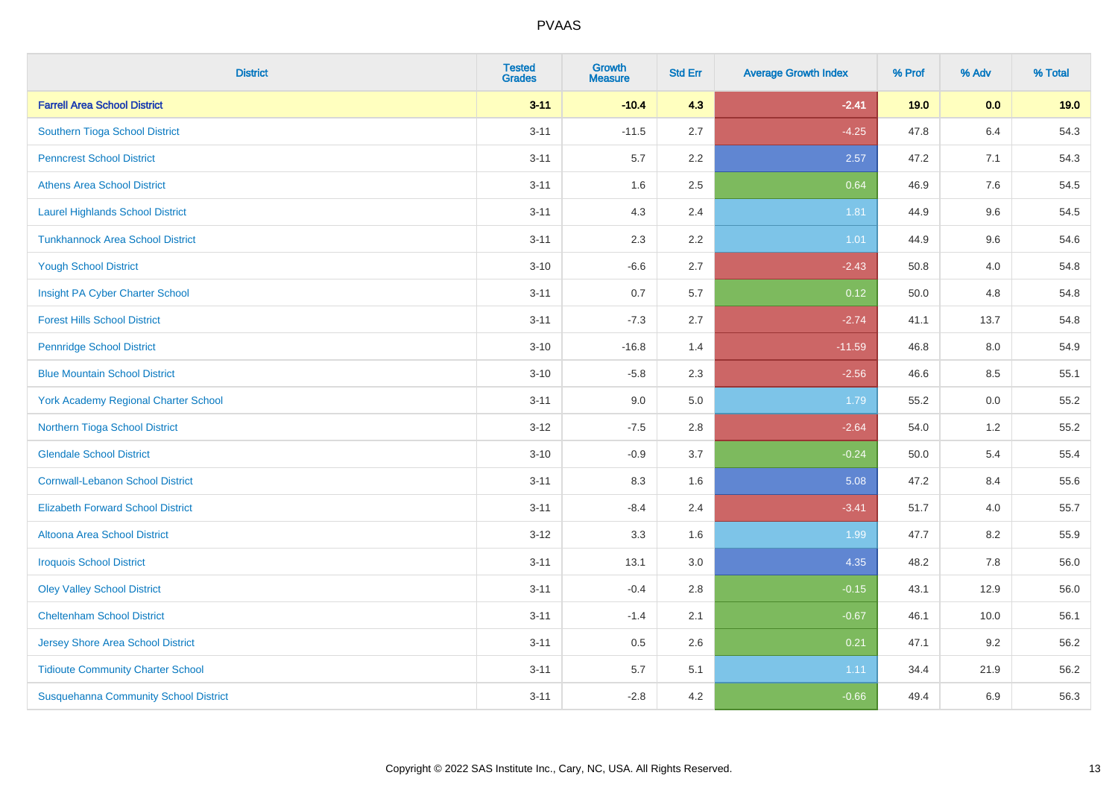| <b>District</b>                              | <b>Tested</b><br><b>Grades</b> | Growth<br><b>Measure</b> | <b>Std Err</b> | <b>Average Growth Index</b> | % Prof | % Adv   | % Total |
|----------------------------------------------|--------------------------------|--------------------------|----------------|-----------------------------|--------|---------|---------|
| <b>Farrell Area School District</b>          | $3 - 11$                       | $-10.4$                  | 4.3            | $-2.41$                     | 19.0   | 0.0     | 19.0    |
| Southern Tioga School District               | $3 - 11$                       | $-11.5$                  | 2.7            | $-4.25$                     | 47.8   | 6.4     | 54.3    |
| <b>Penncrest School District</b>             | $3 - 11$                       | 5.7                      | 2.2            | 2.57                        | 47.2   | 7.1     | 54.3    |
| <b>Athens Area School District</b>           | $3 - 11$                       | 1.6                      | 2.5            | 0.64                        | 46.9   | $7.6\,$ | 54.5    |
| <b>Laurel Highlands School District</b>      | $3 - 11$                       | 4.3                      | 2.4            | 1.81                        | 44.9   | 9.6     | 54.5    |
| <b>Tunkhannock Area School District</b>      | $3 - 11$                       | 2.3                      | 2.2            | 1.01                        | 44.9   | 9.6     | 54.6    |
| <b>Yough School District</b>                 | $3 - 10$                       | $-6.6$                   | 2.7            | $-2.43$                     | 50.8   | 4.0     | 54.8    |
| Insight PA Cyber Charter School              | $3 - 11$                       | 0.7                      | 5.7            | 0.12                        | 50.0   | 4.8     | 54.8    |
| <b>Forest Hills School District</b>          | $3 - 11$                       | $-7.3$                   | 2.7            | $-2.74$                     | 41.1   | 13.7    | 54.8    |
| <b>Pennridge School District</b>             | $3 - 10$                       | $-16.8$                  | 1.4            | $-11.59$                    | 46.8   | 8.0     | 54.9    |
| <b>Blue Mountain School District</b>         | $3 - 10$                       | $-5.8$                   | 2.3            | $-2.56$                     | 46.6   | 8.5     | 55.1    |
| York Academy Regional Charter School         | $3 - 11$                       | 9.0                      | 5.0            | 1.79                        | 55.2   | 0.0     | 55.2    |
| Northern Tioga School District               | $3 - 12$                       | $-7.5$                   | 2.8            | $-2.64$                     | 54.0   | 1.2     | 55.2    |
| <b>Glendale School District</b>              | $3 - 10$                       | $-0.9$                   | 3.7            | $-0.24$                     | 50.0   | 5.4     | 55.4    |
| <b>Cornwall-Lebanon School District</b>      | $3 - 11$                       | 8.3                      | 1.6            | 5.08                        | 47.2   | 8.4     | 55.6    |
| <b>Elizabeth Forward School District</b>     | $3 - 11$                       | $-8.4$                   | 2.4            | $-3.41$                     | 51.7   | 4.0     | 55.7    |
| <b>Altoona Area School District</b>          | $3-12$                         | 3.3                      | 1.6            | 1.99                        | 47.7   | 8.2     | 55.9    |
| <b>Iroquois School District</b>              | $3 - 11$                       | 13.1                     | 3.0            | 4.35                        | 48.2   | 7.8     | 56.0    |
| <b>Oley Valley School District</b>           | $3 - 11$                       | $-0.4$                   | 2.8            | $-0.15$                     | 43.1   | 12.9    | 56.0    |
| <b>Cheltenham School District</b>            | $3 - 11$                       | $-1.4$                   | 2.1            | $-0.67$                     | 46.1   | 10.0    | 56.1    |
| <b>Jersey Shore Area School District</b>     | $3 - 11$                       | 0.5                      | 2.6            | 0.21                        | 47.1   | 9.2     | 56.2    |
| <b>Tidioute Community Charter School</b>     | $3 - 11$                       | 5.7                      | 5.1            | 1.11                        | 34.4   | 21.9    | 56.2    |
| <b>Susquehanna Community School District</b> | $3 - 11$                       | $-2.8$                   | 4.2            | $-0.66$                     | 49.4   | 6.9     | 56.3    |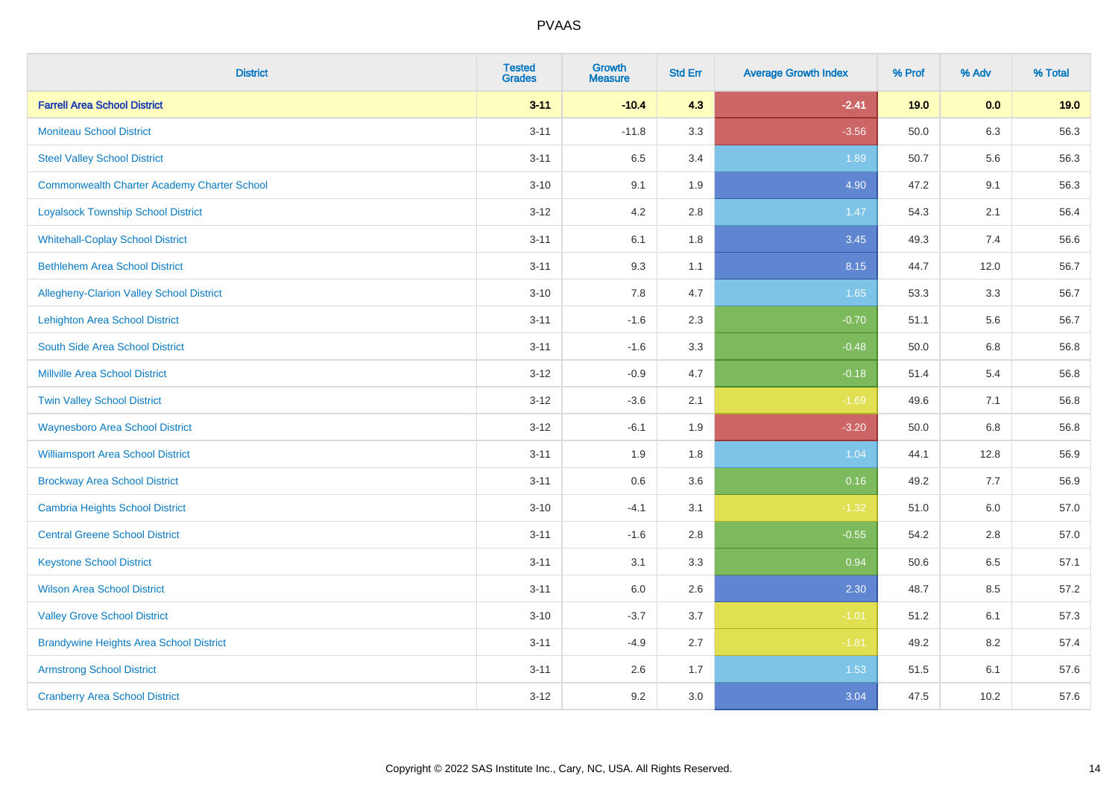| <b>District</b>                                    | <b>Tested</b><br><b>Grades</b> | Growth<br><b>Measure</b> | <b>Std Err</b> | <b>Average Growth Index</b> | % Prof | % Adv   | % Total |
|----------------------------------------------------|--------------------------------|--------------------------|----------------|-----------------------------|--------|---------|---------|
| <b>Farrell Area School District</b>                | $3 - 11$                       | $-10.4$                  | 4.3            | $-2.41$                     | 19.0   | 0.0     | 19.0    |
| <b>Moniteau School District</b>                    | $3 - 11$                       | $-11.8$                  | 3.3            | $-3.56$                     | 50.0   | 6.3     | 56.3    |
| <b>Steel Valley School District</b>                | $3 - 11$                       | 6.5                      | 3.4            | 1.89                        | 50.7   | 5.6     | 56.3    |
| <b>Commonwealth Charter Academy Charter School</b> | $3 - 10$                       | 9.1                      | 1.9            | 4.90                        | 47.2   | 9.1     | 56.3    |
| <b>Loyalsock Township School District</b>          | $3 - 12$                       | 4.2                      | 2.8            | 1.47                        | 54.3   | 2.1     | 56.4    |
| <b>Whitehall-Coplay School District</b>            | $3 - 11$                       | 6.1                      | 1.8            | 3.45                        | 49.3   | 7.4     | 56.6    |
| <b>Bethlehem Area School District</b>              | $3 - 11$                       | 9.3                      | 1.1            | 8.15                        | 44.7   | 12.0    | 56.7    |
| Allegheny-Clarion Valley School District           | $3 - 10$                       | 7.8                      | 4.7            | 1.65                        | 53.3   | 3.3     | 56.7    |
| Lehighton Area School District                     | $3 - 11$                       | $-1.6$                   | 2.3            | $-0.70$                     | 51.1   | 5.6     | 56.7    |
| South Side Area School District                    | $3 - 11$                       | $-1.6$                   | 3.3            | $-0.48$                     | 50.0   | 6.8     | 56.8    |
| <b>Millville Area School District</b>              | $3-12$                         | $-0.9$                   | 4.7            | $-0.18$                     | 51.4   | 5.4     | 56.8    |
| <b>Twin Valley School District</b>                 | $3-12$                         | $-3.6$                   | 2.1            | $-1.69$                     | 49.6   | 7.1     | 56.8    |
| <b>Waynesboro Area School District</b>             | $3 - 12$                       | $-6.1$                   | 1.9            | $-3.20$                     | 50.0   | $6.8\,$ | 56.8    |
| <b>Williamsport Area School District</b>           | $3 - 11$                       | 1.9                      | 1.8            | 1.04                        | 44.1   | 12.8    | 56.9    |
| <b>Brockway Area School District</b>               | $3 - 11$                       | $0.6\,$                  | 3.6            | 0.16                        | 49.2   | 7.7     | 56.9    |
| Cambria Heights School District                    | $3 - 10$                       | $-4.1$                   | 3.1            | $-1.32$                     | 51.0   | 6.0     | 57.0    |
| <b>Central Greene School District</b>              | $3 - 11$                       | $-1.6$                   | 2.8            | $-0.55$                     | 54.2   | 2.8     | 57.0    |
| <b>Keystone School District</b>                    | $3 - 11$                       | 3.1                      | 3.3            | 0.94                        | 50.6   | 6.5     | 57.1    |
| <b>Wilson Area School District</b>                 | $3 - 11$                       | 6.0                      | 2.6            | 2.30                        | 48.7   | 8.5     | 57.2    |
| <b>Valley Grove School District</b>                | $3 - 10$                       | $-3.7$                   | 3.7            | $-1.01$                     | 51.2   | 6.1     | 57.3    |
| <b>Brandywine Heights Area School District</b>     | $3 - 11$                       | $-4.9$                   | 2.7            | $-1.81$                     | 49.2   | 8.2     | 57.4    |
| <b>Armstrong School District</b>                   | $3 - 11$                       | 2.6                      | 1.7            | 1.53                        | 51.5   | 6.1     | 57.6    |
| <b>Cranberry Area School District</b>              | $3-12$                         | 9.2                      | 3.0            | 3.04                        | 47.5   | 10.2    | 57.6    |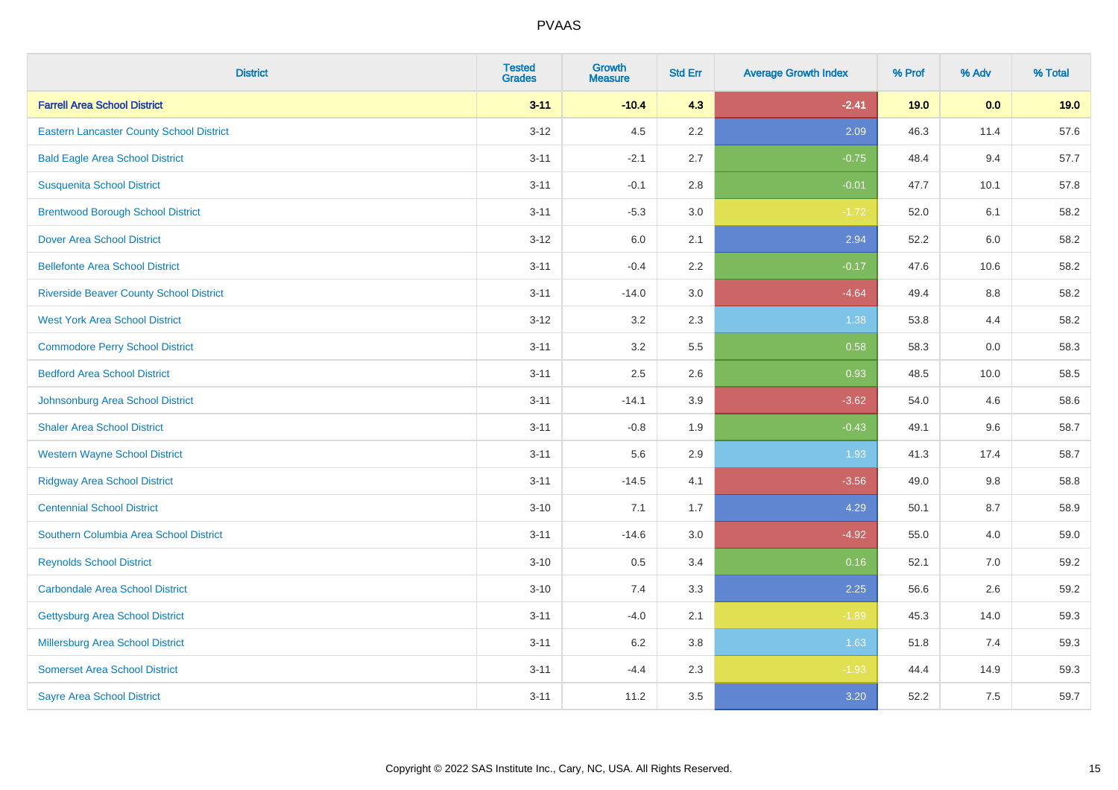| <b>District</b>                                 | <b>Tested</b><br><b>Grades</b> | <b>Growth</b><br><b>Measure</b> | <b>Std Err</b> | <b>Average Growth Index</b> | % Prof | % Adv | % Total |
|-------------------------------------------------|--------------------------------|---------------------------------|----------------|-----------------------------|--------|-------|---------|
| <b>Farrell Area School District</b>             | $3 - 11$                       | $-10.4$                         | 4.3            | $-2.41$                     | 19.0   | 0.0   | 19.0    |
| <b>Eastern Lancaster County School District</b> | $3 - 12$                       | 4.5                             | 2.2            | 2.09                        | 46.3   | 11.4  | 57.6    |
| <b>Bald Eagle Area School District</b>          | $3 - 11$                       | $-2.1$                          | 2.7            | $-0.75$                     | 48.4   | 9.4   | 57.7    |
| <b>Susquenita School District</b>               | $3 - 11$                       | $-0.1$                          | 2.8            | $-0.01$                     | 47.7   | 10.1  | 57.8    |
| <b>Brentwood Borough School District</b>        | $3 - 11$                       | $-5.3$                          | 3.0            | $-1.72$                     | 52.0   | 6.1   | 58.2    |
| <b>Dover Area School District</b>               | $3 - 12$                       | 6.0                             | 2.1            | 2.94                        | 52.2   | 6.0   | 58.2    |
| <b>Bellefonte Area School District</b>          | $3 - 11$                       | $-0.4$                          | 2.2            | $-0.17$                     | 47.6   | 10.6  | 58.2    |
| <b>Riverside Beaver County School District</b>  | $3 - 11$                       | $-14.0$                         | 3.0            | $-4.64$                     | 49.4   | 8.8   | 58.2    |
| <b>West York Area School District</b>           | $3 - 12$                       | 3.2                             | 2.3            | 1.38                        | 53.8   | 4.4   | 58.2    |
| <b>Commodore Perry School District</b>          | $3 - 11$                       | 3.2                             | 5.5            | 0.58                        | 58.3   | 0.0   | 58.3    |
| <b>Bedford Area School District</b>             | $3 - 11$                       | 2.5                             | 2.6            | 0.93                        | 48.5   | 10.0  | 58.5    |
| Johnsonburg Area School District                | $3 - 11$                       | $-14.1$                         | 3.9            | $-3.62$                     | 54.0   | 4.6   | 58.6    |
| <b>Shaler Area School District</b>              | $3 - 11$                       | $-0.8$                          | 1.9            | $-0.43$                     | 49.1   | 9.6   | 58.7    |
| <b>Western Wayne School District</b>            | $3 - 11$                       | 5.6                             | 2.9            | 1.93                        | 41.3   | 17.4  | 58.7    |
| <b>Ridgway Area School District</b>             | $3 - 11$                       | $-14.5$                         | 4.1            | $-3.56$                     | 49.0   | 9.8   | 58.8    |
| <b>Centennial School District</b>               | $3 - 10$                       | 7.1                             | 1.7            | 4.29                        | 50.1   | 8.7   | 58.9    |
| Southern Columbia Area School District          | $3 - 11$                       | $-14.6$                         | 3.0            | $-4.92$                     | 55.0   | 4.0   | 59.0    |
| <b>Reynolds School District</b>                 | $3 - 10$                       | 0.5                             | 3.4            | 0.16                        | 52.1   | 7.0   | 59.2    |
| <b>Carbondale Area School District</b>          | $3 - 10$                       | 7.4                             | 3.3            | 2.25                        | 56.6   | 2.6   | 59.2    |
| <b>Gettysburg Area School District</b>          | $3 - 11$                       | $-4.0$                          | 2.1            | $-1.89$                     | 45.3   | 14.0  | 59.3    |
| <b>Millersburg Area School District</b>         | $3 - 11$                       | 6.2                             | 3.8            | 1.63                        | 51.8   | 7.4   | 59.3    |
| <b>Somerset Area School District</b>            | $3 - 11$                       | $-4.4$                          | 2.3            | $-1.93$                     | 44.4   | 14.9  | 59.3    |
| <b>Sayre Area School District</b>               | $3 - 11$                       | 11.2                            | 3.5            | 3.20                        | 52.2   | 7.5   | 59.7    |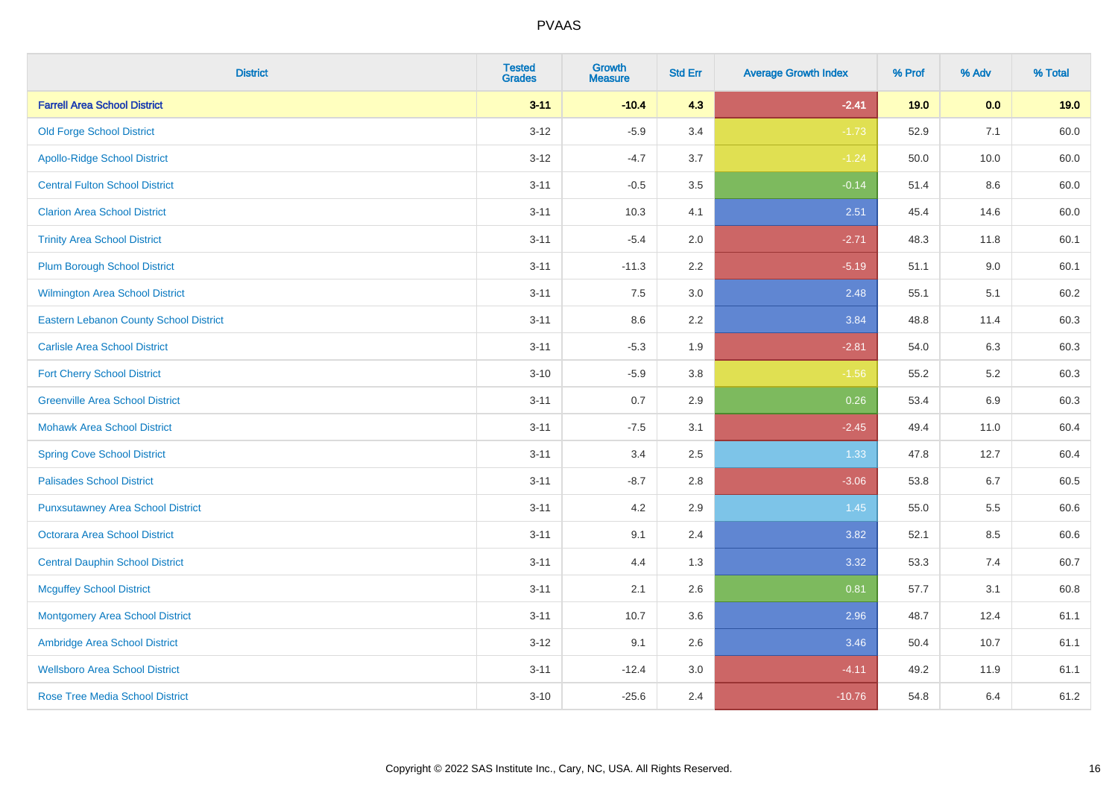| <b>District</b>                               | <b>Tested</b><br><b>Grades</b> | <b>Growth</b><br><b>Measure</b> | <b>Std Err</b> | <b>Average Growth Index</b> | % Prof | % Adv   | % Total |
|-----------------------------------------------|--------------------------------|---------------------------------|----------------|-----------------------------|--------|---------|---------|
| <b>Farrell Area School District</b>           | $3 - 11$                       | $-10.4$                         | 4.3            | $-2.41$                     | 19.0   | 0.0     | 19.0    |
| <b>Old Forge School District</b>              | $3 - 12$                       | $-5.9$                          | 3.4            | $-1.73$                     | 52.9   | 7.1     | 60.0    |
| <b>Apollo-Ridge School District</b>           | $3 - 12$                       | $-4.7$                          | 3.7            | $-1.24$                     | 50.0   | 10.0    | 60.0    |
| <b>Central Fulton School District</b>         | $3 - 11$                       | $-0.5$                          | 3.5            | $-0.14$                     | 51.4   | 8.6     | 60.0    |
| <b>Clarion Area School District</b>           | $3 - 11$                       | 10.3                            | 4.1            | 2.51                        | 45.4   | 14.6    | 60.0    |
| <b>Trinity Area School District</b>           | $3 - 11$                       | $-5.4$                          | 2.0            | $-2.71$                     | 48.3   | 11.8    | 60.1    |
| <b>Plum Borough School District</b>           | $3 - 11$                       | $-11.3$                         | 2.2            | $-5.19$                     | 51.1   | $9.0\,$ | 60.1    |
| <b>Wilmington Area School District</b>        | $3 - 11$                       | 7.5                             | 3.0            | 2.48                        | 55.1   | 5.1     | 60.2    |
| <b>Eastern Lebanon County School District</b> | $3 - 11$                       | 8.6                             | 2.2            | 3.84                        | 48.8   | 11.4    | 60.3    |
| <b>Carlisle Area School District</b>          | $3 - 11$                       | $-5.3$                          | 1.9            | $-2.81$                     | 54.0   | 6.3     | 60.3    |
| <b>Fort Cherry School District</b>            | $3 - 10$                       | $-5.9$                          | 3.8            | $-1.56$                     | 55.2   | $5.2\,$ | 60.3    |
| <b>Greenville Area School District</b>        | $3 - 11$                       | 0.7                             | 2.9            | 0.26                        | 53.4   | 6.9     | 60.3    |
| <b>Mohawk Area School District</b>            | $3 - 11$                       | $-7.5$                          | 3.1            | $-2.45$                     | 49.4   | 11.0    | 60.4    |
| <b>Spring Cove School District</b>            | $3 - 11$                       | 3.4                             | 2.5            | 1.33                        | 47.8   | 12.7    | 60.4    |
| <b>Palisades School District</b>              | $3 - 11$                       | $-8.7$                          | 2.8            | $-3.06$                     | 53.8   | 6.7     | 60.5    |
| <b>Punxsutawney Area School District</b>      | $3 - 11$                       | 4.2                             | 2.9            | 1.45                        | 55.0   | 5.5     | 60.6    |
| <b>Octorara Area School District</b>          | $3 - 11$                       | 9.1                             | 2.4            | 3.82                        | 52.1   | 8.5     | 60.6    |
| <b>Central Dauphin School District</b>        | $3 - 11$                       | 4.4                             | 1.3            | 3.32                        | 53.3   | 7.4     | 60.7    |
| <b>Mcguffey School District</b>               | $3 - 11$                       | 2.1                             | 2.6            | 0.81                        | 57.7   | 3.1     | 60.8    |
| <b>Montgomery Area School District</b>        | $3 - 11$                       | 10.7                            | 3.6            | 2.96                        | 48.7   | 12.4    | 61.1    |
| Ambridge Area School District                 | $3 - 12$                       | 9.1                             | 2.6            | 3.46                        | 50.4   | 10.7    | 61.1    |
| <b>Wellsboro Area School District</b>         | $3 - 11$                       | $-12.4$                         | 3.0            | $-4.11$                     | 49.2   | 11.9    | 61.1    |
| <b>Rose Tree Media School District</b>        | $3 - 10$                       | $-25.6$                         | 2.4            | $-10.76$                    | 54.8   | 6.4     | 61.2    |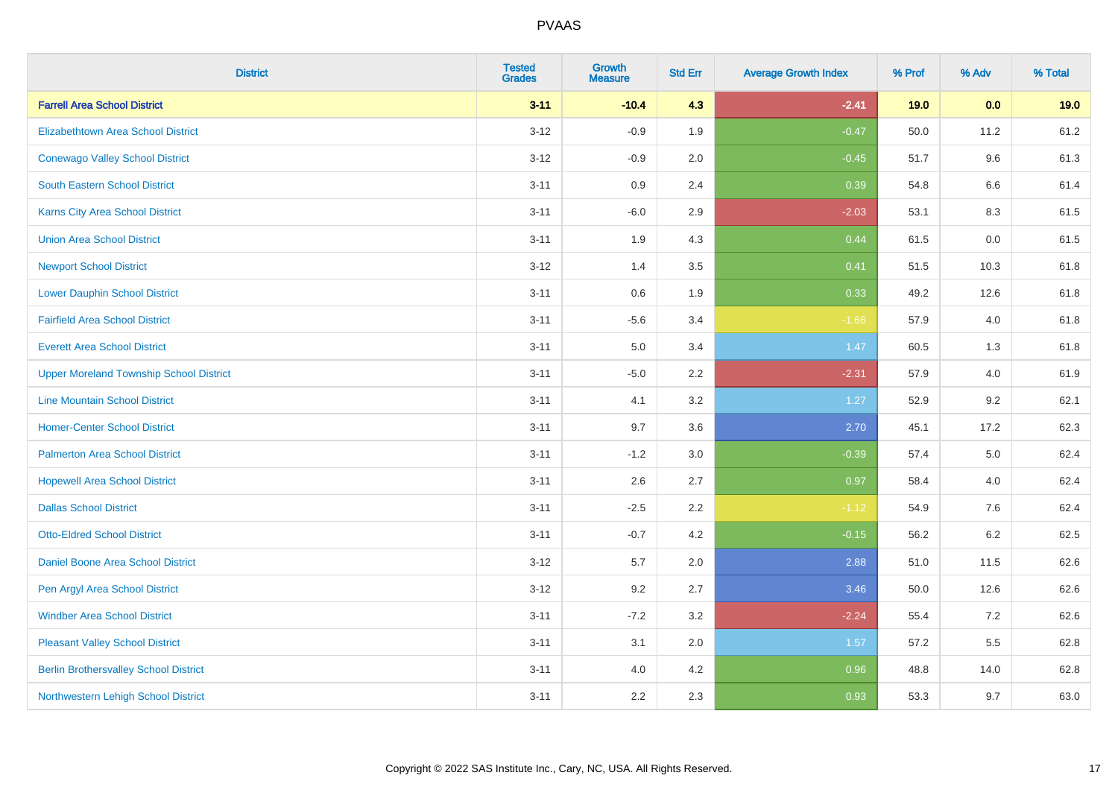| <b>District</b>                                | <b>Tested</b><br><b>Grades</b> | <b>Growth</b><br><b>Measure</b> | <b>Std Err</b> | <b>Average Growth Index</b> | % Prof | % Adv   | % Total |
|------------------------------------------------|--------------------------------|---------------------------------|----------------|-----------------------------|--------|---------|---------|
| <b>Farrell Area School District</b>            | $3 - 11$                       | $-10.4$                         | 4.3            | $-2.41$                     | 19.0   | 0.0     | 19.0    |
| Elizabethtown Area School District             | $3 - 12$                       | $-0.9$                          | 1.9            | $-0.47$                     | 50.0   | 11.2    | 61.2    |
| <b>Conewago Valley School District</b>         | $3 - 12$                       | $-0.9$                          | 2.0            | $-0.45$                     | 51.7   | 9.6     | 61.3    |
| <b>South Eastern School District</b>           | $3 - 11$                       | 0.9                             | 2.4            | 0.39                        | 54.8   | $6.6\,$ | 61.4    |
| Karns City Area School District                | $3 - 11$                       | $-6.0$                          | 2.9            | $-2.03$                     | 53.1   | 8.3     | 61.5    |
| <b>Union Area School District</b>              | $3 - 11$                       | 1.9                             | 4.3            | 0.44                        | 61.5   | 0.0     | 61.5    |
| <b>Newport School District</b>                 | $3-12$                         | 1.4                             | 3.5            | 0.41                        | 51.5   | 10.3    | 61.8    |
| <b>Lower Dauphin School District</b>           | $3 - 11$                       | 0.6                             | 1.9            | 0.33                        | 49.2   | 12.6    | 61.8    |
| <b>Fairfield Area School District</b>          | $3 - 11$                       | $-5.6$                          | 3.4            | $-1.66$                     | 57.9   | 4.0     | 61.8    |
| <b>Everett Area School District</b>            | $3 - 11$                       | 5.0                             | 3.4            | 1.47                        | 60.5   | 1.3     | 61.8    |
| <b>Upper Moreland Township School District</b> | $3 - 11$                       | $-5.0$                          | 2.2            | $-2.31$                     | 57.9   | 4.0     | 61.9    |
| <b>Line Mountain School District</b>           | $3 - 11$                       | 4.1                             | 3.2            | 1.27                        | 52.9   | 9.2     | 62.1    |
| <b>Homer-Center School District</b>            | $3 - 11$                       | 9.7                             | 3.6            | 2.70                        | 45.1   | 17.2    | 62.3    |
| <b>Palmerton Area School District</b>          | $3 - 11$                       | $-1.2$                          | 3.0            | $-0.39$                     | 57.4   | 5.0     | 62.4    |
| <b>Hopewell Area School District</b>           | $3 - 11$                       | 2.6                             | 2.7            | 0.97                        | 58.4   | 4.0     | 62.4    |
| <b>Dallas School District</b>                  | $3 - 11$                       | $-2.5$                          | 2.2            | $-1.12$                     | 54.9   | 7.6     | 62.4    |
| <b>Otto-Eldred School District</b>             | $3 - 11$                       | $-0.7$                          | 4.2            | $-0.15$                     | 56.2   | 6.2     | 62.5    |
| Daniel Boone Area School District              | $3 - 12$                       | 5.7                             | 2.0            | 2.88                        | 51.0   | 11.5    | 62.6    |
| Pen Argyl Area School District                 | $3 - 12$                       | 9.2                             | 2.7            | 3.46                        | 50.0   | 12.6    | 62.6    |
| <b>Windber Area School District</b>            | $3 - 11$                       | $-7.2$                          | 3.2            | $-2.24$                     | 55.4   | 7.2     | 62.6    |
| <b>Pleasant Valley School District</b>         | $3 - 11$                       | 3.1                             | 2.0            | 1.57                        | 57.2   | 5.5     | 62.8    |
| <b>Berlin Brothersvalley School District</b>   | $3 - 11$                       | 4.0                             | 4.2            | 0.96                        | 48.8   | 14.0    | 62.8    |
| Northwestern Lehigh School District            | $3 - 11$                       | 2.2                             | 2.3            | 0.93                        | 53.3   | 9.7     | 63.0    |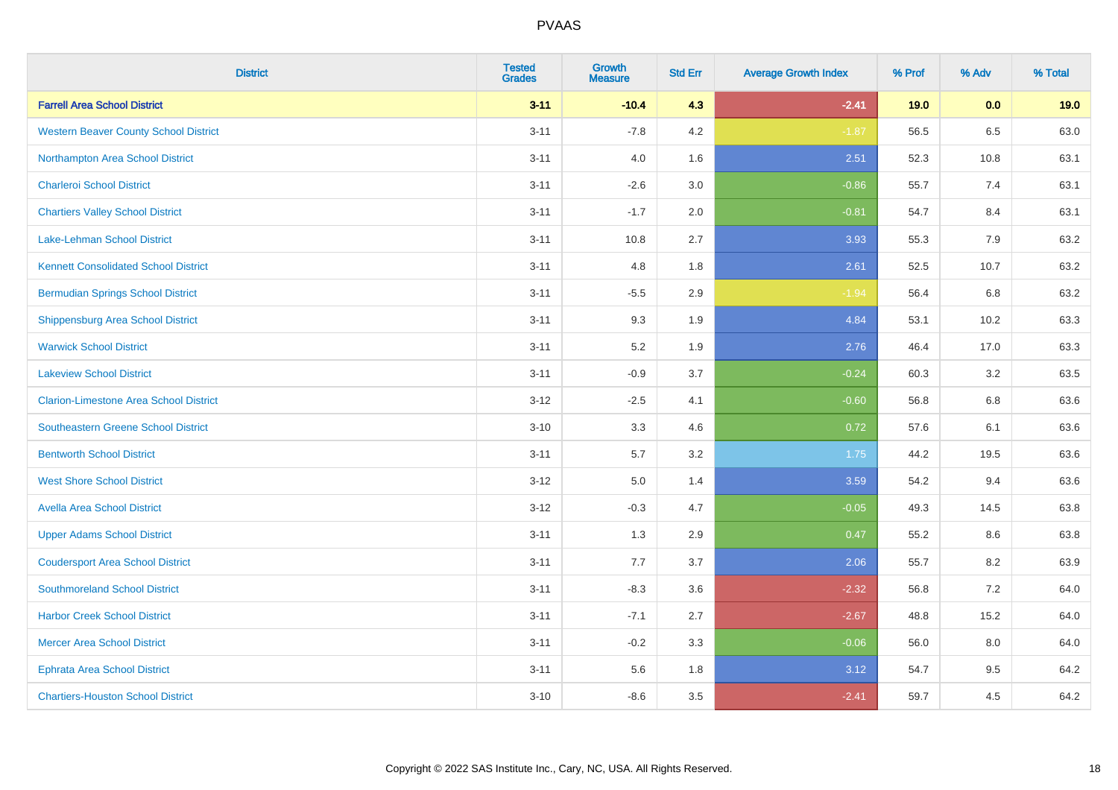| <b>District</b>                               | <b>Tested</b><br><b>Grades</b> | <b>Growth</b><br><b>Measure</b> | <b>Std Err</b> | <b>Average Growth Index</b> | % Prof | % Adv | % Total |
|-----------------------------------------------|--------------------------------|---------------------------------|----------------|-----------------------------|--------|-------|---------|
| <b>Farrell Area School District</b>           | $3 - 11$                       | $-10.4$                         | 4.3            | $-2.41$                     | 19.0   | 0.0   | 19.0    |
| <b>Western Beaver County School District</b>  | $3 - 11$                       | $-7.8$                          | 4.2            | $-1.87$                     | 56.5   | 6.5   | 63.0    |
| Northampton Area School District              | $3 - 11$                       | 4.0                             | 1.6            | 2.51                        | 52.3   | 10.8  | 63.1    |
| <b>Charleroi School District</b>              | $3 - 11$                       | $-2.6$                          | 3.0            | $-0.86$                     | 55.7   | 7.4   | 63.1    |
| <b>Chartiers Valley School District</b>       | $3 - 11$                       | $-1.7$                          | 2.0            | $-0.81$                     | 54.7   | 8.4   | 63.1    |
| Lake-Lehman School District                   | $3 - 11$                       | 10.8                            | 2.7            | 3.93                        | 55.3   | 7.9   | 63.2    |
| <b>Kennett Consolidated School District</b>   | $3 - 11$                       | 4.8                             | 1.8            | 2.61                        | 52.5   | 10.7  | 63.2    |
| <b>Bermudian Springs School District</b>      | $3 - 11$                       | $-5.5$                          | 2.9            | $-1.94$                     | 56.4   | 6.8   | 63.2    |
| <b>Shippensburg Area School District</b>      | $3 - 11$                       | 9.3                             | 1.9            | 4.84                        | 53.1   | 10.2  | 63.3    |
| <b>Warwick School District</b>                | $3 - 11$                       | 5.2                             | 1.9            | 2.76                        | 46.4   | 17.0  | 63.3    |
| <b>Lakeview School District</b>               | $3 - 11$                       | $-0.9$                          | 3.7            | $-0.24$                     | 60.3   | 3.2   | 63.5    |
| <b>Clarion-Limestone Area School District</b> | $3 - 12$                       | $-2.5$                          | 4.1            | $-0.60$                     | 56.8   | 6.8   | 63.6    |
| Southeastern Greene School District           | $3 - 10$                       | 3.3                             | 4.6            | 0.72                        | 57.6   | 6.1   | 63.6    |
| <b>Bentworth School District</b>              | $3 - 11$                       | 5.7                             | 3.2            | 1.75                        | 44.2   | 19.5  | 63.6    |
| <b>West Shore School District</b>             | $3 - 12$                       | $5.0\,$                         | 1.4            | 3.59                        | 54.2   | 9.4   | 63.6    |
| <b>Avella Area School District</b>            | $3 - 12$                       | $-0.3$                          | 4.7            | $-0.05$                     | 49.3   | 14.5  | 63.8    |
| <b>Upper Adams School District</b>            | $3 - 11$                       | 1.3                             | 2.9            | 0.47                        | 55.2   | 8.6   | 63.8    |
| <b>Coudersport Area School District</b>       | $3 - 11$                       | 7.7                             | 3.7            | 2.06                        | 55.7   | 8.2   | 63.9    |
| <b>Southmoreland School District</b>          | $3 - 11$                       | $-8.3$                          | 3.6            | $-2.32$                     | 56.8   | 7.2   | 64.0    |
| <b>Harbor Creek School District</b>           | $3 - 11$                       | $-7.1$                          | 2.7            | $-2.67$                     | 48.8   | 15.2  | 64.0    |
| <b>Mercer Area School District</b>            | $3 - 11$                       | $-0.2$                          | 3.3            | $-0.06$                     | 56.0   | 8.0   | 64.0    |
| <b>Ephrata Area School District</b>           | $3 - 11$                       | 5.6                             | 1.8            | 3.12                        | 54.7   | 9.5   | 64.2    |
| <b>Chartiers-Houston School District</b>      | $3 - 10$                       | $-8.6$                          | 3.5            | $-2.41$                     | 59.7   | 4.5   | 64.2    |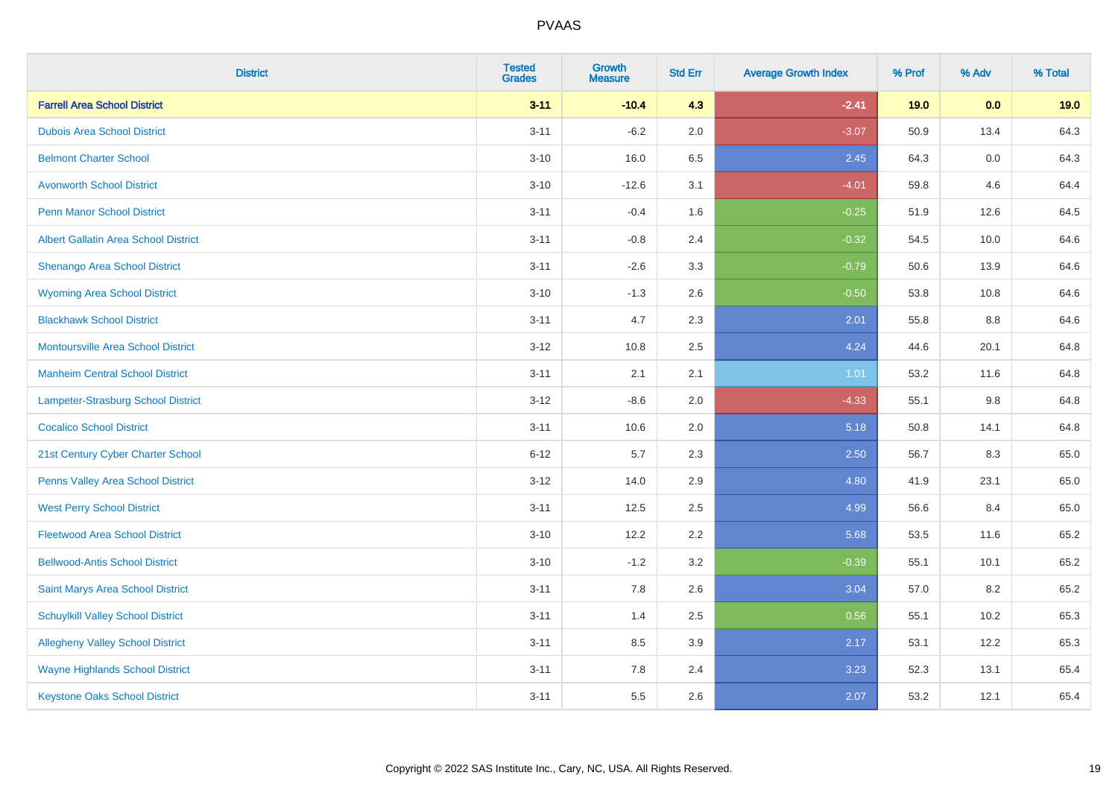| <b>District</b>                             | <b>Tested</b><br><b>Grades</b> | <b>Growth</b><br><b>Measure</b> | <b>Std Err</b> | <b>Average Growth Index</b> | % Prof | % Adv   | % Total |
|---------------------------------------------|--------------------------------|---------------------------------|----------------|-----------------------------|--------|---------|---------|
| <b>Farrell Area School District</b>         | $3 - 11$                       | $-10.4$                         | 4.3            | $-2.41$                     | 19.0   | 0.0     | 19.0    |
| <b>Dubois Area School District</b>          | $3 - 11$                       | $-6.2$                          | 2.0            | $-3.07$                     | 50.9   | 13.4    | 64.3    |
| <b>Belmont Charter School</b>               | $3 - 10$                       | 16.0                            | 6.5            | 2.45                        | 64.3   | $0.0\,$ | 64.3    |
| <b>Avonworth School District</b>            | $3 - 10$                       | $-12.6$                         | 3.1            | $-4.01$                     | 59.8   | 4.6     | 64.4    |
| <b>Penn Manor School District</b>           | $3 - 11$                       | $-0.4$                          | 1.6            | $-0.25$                     | 51.9   | 12.6    | 64.5    |
| <b>Albert Gallatin Area School District</b> | $3 - 11$                       | $-0.8$                          | 2.4            | $-0.32$                     | 54.5   | 10.0    | 64.6    |
| Shenango Area School District               | $3 - 11$                       | $-2.6$                          | 3.3            | $-0.79$                     | 50.6   | 13.9    | 64.6    |
| <b>Wyoming Area School District</b>         | $3 - 10$                       | $-1.3$                          | 2.6            | $-0.50$                     | 53.8   | 10.8    | 64.6    |
| <b>Blackhawk School District</b>            | $3 - 11$                       | 4.7                             | 2.3            | 2.01                        | 55.8   | $8.8\,$ | 64.6    |
| <b>Montoursville Area School District</b>   | $3 - 12$                       | 10.8                            | 2.5            | 4.24                        | 44.6   | 20.1    | 64.8    |
| <b>Manheim Central School District</b>      | $3 - 11$                       | 2.1                             | 2.1            | 1.01                        | 53.2   | 11.6    | 64.8    |
| Lampeter-Strasburg School District          | $3-12$                         | $-8.6$                          | 2.0            | $-4.33$                     | 55.1   | $9.8\,$ | 64.8    |
| <b>Cocalico School District</b>             | $3 - 11$                       | 10.6                            | 2.0            | 5.18                        | 50.8   | 14.1    | 64.8    |
| 21st Century Cyber Charter School           | $6 - 12$                       | 5.7                             | 2.3            | 2.50                        | 56.7   | 8.3     | 65.0    |
| Penns Valley Area School District           | $3-12$                         | 14.0                            | 2.9            | 4.80                        | 41.9   | 23.1    | 65.0    |
| <b>West Perry School District</b>           | $3 - 11$                       | 12.5                            | 2.5            | 4.99                        | 56.6   | 8.4     | 65.0    |
| <b>Fleetwood Area School District</b>       | $3 - 10$                       | 12.2                            | 2.2            | 5.68                        | 53.5   | 11.6    | 65.2    |
| <b>Bellwood-Antis School District</b>       | $3 - 10$                       | $-1.2$                          | 3.2            | $-0.39$                     | 55.1   | 10.1    | 65.2    |
| Saint Marys Area School District            | $3 - 11$                       | 7.8                             | 2.6            | 3.04                        | 57.0   | 8.2     | 65.2    |
| <b>Schuylkill Valley School District</b>    | $3 - 11$                       | 1.4                             | 2.5            | 0.56                        | 55.1   | 10.2    | 65.3    |
| <b>Allegheny Valley School District</b>     | $3 - 11$                       | 8.5                             | 3.9            | 2.17                        | 53.1   | 12.2    | 65.3    |
| <b>Wayne Highlands School District</b>      | $3 - 11$                       | 7.8                             | 2.4            | 3.23                        | 52.3   | 13.1    | 65.4    |
| <b>Keystone Oaks School District</b>        | $3 - 11$                       | 5.5                             | 2.6            | 2.07                        | 53.2   | 12.1    | 65.4    |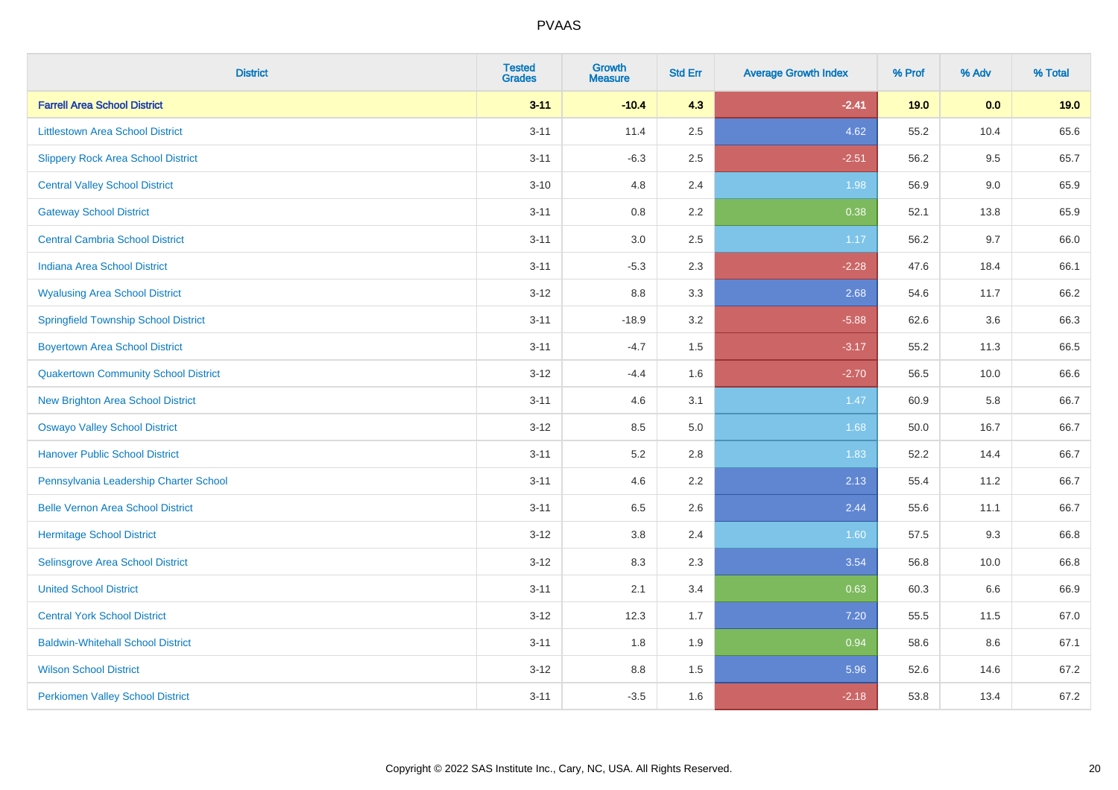| <b>District</b>                             | <b>Tested</b><br><b>Grades</b> | <b>Growth</b><br><b>Measure</b> | <b>Std Err</b> | <b>Average Growth Index</b> | % Prof | % Adv | % Total |
|---------------------------------------------|--------------------------------|---------------------------------|----------------|-----------------------------|--------|-------|---------|
| <b>Farrell Area School District</b>         | $3 - 11$                       | $-10.4$                         | 4.3            | $-2.41$                     | 19.0   | 0.0   | 19.0    |
| <b>Littlestown Area School District</b>     | $3 - 11$                       | 11.4                            | 2.5            | 4.62                        | 55.2   | 10.4  | 65.6    |
| <b>Slippery Rock Area School District</b>   | $3 - 11$                       | $-6.3$                          | 2.5            | $-2.51$                     | 56.2   | 9.5   | 65.7    |
| <b>Central Valley School District</b>       | $3 - 10$                       | 4.8                             | 2.4            | 1.98                        | 56.9   | 9.0   | 65.9    |
| <b>Gateway School District</b>              | $3 - 11$                       | 0.8                             | 2.2            | 0.38                        | 52.1   | 13.8  | 65.9    |
| <b>Central Cambria School District</b>      | $3 - 11$                       | $3.0\,$                         | 2.5            | 1.17                        | 56.2   | 9.7   | 66.0    |
| Indiana Area School District                | $3 - 11$                       | $-5.3$                          | 2.3            | $-2.28$                     | 47.6   | 18.4  | 66.1    |
| <b>Wyalusing Area School District</b>       | $3 - 12$                       | $8.8\,$                         | 3.3            | 2.68                        | 54.6   | 11.7  | 66.2    |
| <b>Springfield Township School District</b> | $3 - 11$                       | $-18.9$                         | 3.2            | $-5.88$                     | 62.6   | 3.6   | 66.3    |
| <b>Boyertown Area School District</b>       | $3 - 11$                       | $-4.7$                          | 1.5            | $-3.17$                     | 55.2   | 11.3  | 66.5    |
| <b>Quakertown Community School District</b> | $3 - 12$                       | $-4.4$                          | 1.6            | $-2.70$                     | 56.5   | 10.0  | 66.6    |
| New Brighton Area School District           | $3 - 11$                       | 4.6                             | 3.1            | 1.47                        | 60.9   | 5.8   | 66.7    |
| <b>Oswayo Valley School District</b>        | $3 - 12$                       | 8.5                             | 5.0            | 1.68                        | 50.0   | 16.7  | 66.7    |
| <b>Hanover Public School District</b>       | $3 - 11$                       | 5.2                             | 2.8            | 1.83                        | 52.2   | 14.4  | 66.7    |
| Pennsylvania Leadership Charter School      | $3 - 11$                       | 4.6                             | 2.2            | 2.13                        | 55.4   | 11.2  | 66.7    |
| <b>Belle Vernon Area School District</b>    | $3 - 11$                       | 6.5                             | 2.6            | 2.44                        | 55.6   | 11.1  | 66.7    |
| <b>Hermitage School District</b>            | $3 - 12$                       | $3.8\,$                         | 2.4            | 1.60                        | 57.5   | 9.3   | 66.8    |
| Selinsgrove Area School District            | $3 - 12$                       | 8.3                             | 2.3            | 3.54                        | 56.8   | 10.0  | 66.8    |
| <b>United School District</b>               | $3 - 11$                       | 2.1                             | 3.4            | 0.63                        | 60.3   | 6.6   | 66.9    |
| <b>Central York School District</b>         | $3 - 12$                       | 12.3                            | 1.7            | 7.20                        | 55.5   | 11.5  | 67.0    |
| <b>Baldwin-Whitehall School District</b>    | $3 - 11$                       | 1.8                             | 1.9            | 0.94                        | 58.6   | 8.6   | 67.1    |
| <b>Wilson School District</b>               | $3 - 12$                       | 8.8                             | 1.5            | 5.96                        | 52.6   | 14.6  | 67.2    |
| <b>Perkiomen Valley School District</b>     | $3 - 11$                       | $-3.5$                          | 1.6            | $-2.18$                     | 53.8   | 13.4  | 67.2    |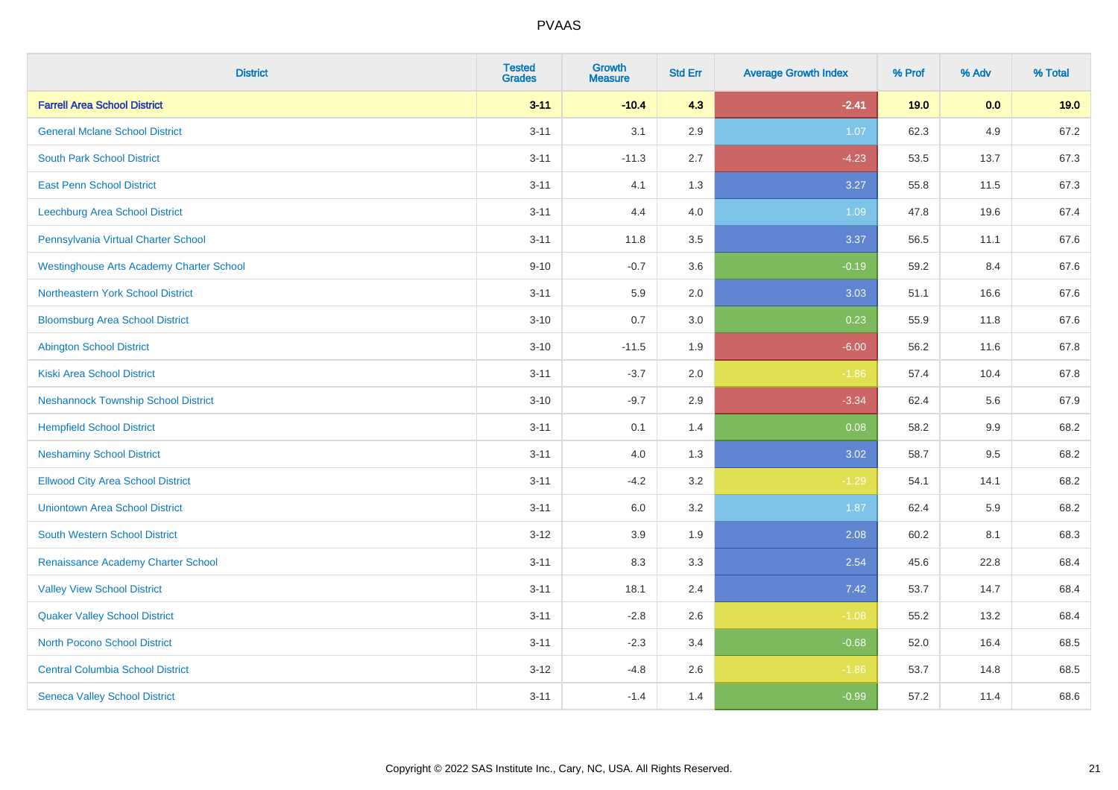| <b>District</b>                                 | <b>Tested</b><br><b>Grades</b> | <b>Growth</b><br><b>Measure</b> | <b>Std Err</b> | <b>Average Growth Index</b> | % Prof | % Adv   | % Total |
|-------------------------------------------------|--------------------------------|---------------------------------|----------------|-----------------------------|--------|---------|---------|
| <b>Farrell Area School District</b>             | $3 - 11$                       | $-10.4$                         | 4.3            | $-2.41$                     | 19.0   | 0.0     | 19.0    |
| <b>General Mclane School District</b>           | $3 - 11$                       | 3.1                             | 2.9            | 1.07                        | 62.3   | 4.9     | 67.2    |
| <b>South Park School District</b>               | $3 - 11$                       | $-11.3$                         | 2.7            | $-4.23$                     | 53.5   | 13.7    | 67.3    |
| <b>East Penn School District</b>                | $3 - 11$                       | 4.1                             | 1.3            | 3.27                        | 55.8   | 11.5    | 67.3    |
| Leechburg Area School District                  | $3 - 11$                       | 4.4                             | 4.0            | 1.09                        | 47.8   | 19.6    | 67.4    |
| Pennsylvania Virtual Charter School             | $3 - 11$                       | 11.8                            | 3.5            | 3.37                        | 56.5   | 11.1    | 67.6    |
| <b>Westinghouse Arts Academy Charter School</b> | $9 - 10$                       | $-0.7$                          | 3.6            | $-0.19$                     | 59.2   | 8.4     | 67.6    |
| <b>Northeastern York School District</b>        | $3 - 11$                       | 5.9                             | 2.0            | 3.03                        | 51.1   | 16.6    | 67.6    |
| <b>Bloomsburg Area School District</b>          | $3 - 10$                       | 0.7                             | 3.0            | 0.23                        | 55.9   | 11.8    | 67.6    |
| <b>Abington School District</b>                 | $3 - 10$                       | $-11.5$                         | 1.9            | $-6.00$                     | 56.2   | 11.6    | 67.8    |
| <b>Kiski Area School District</b>               | $3 - 11$                       | $-3.7$                          | 2.0            | $-1.86$                     | 57.4   | 10.4    | 67.8    |
| <b>Neshannock Township School District</b>      | $3 - 10$                       | $-9.7$                          | 2.9            | $-3.34$                     | 62.4   | 5.6     | 67.9    |
| <b>Hempfield School District</b>                | $3 - 11$                       | 0.1                             | 1.4            | 0.08                        | 58.2   | $9.9\,$ | 68.2    |
| <b>Neshaminy School District</b>                | $3 - 11$                       | 4.0                             | 1.3            | 3.02                        | 58.7   | 9.5     | 68.2    |
| <b>Ellwood City Area School District</b>        | $3 - 11$                       | $-4.2$                          | 3.2            | $-1.29$                     | 54.1   | 14.1    | 68.2    |
| <b>Uniontown Area School District</b>           | $3 - 11$                       | 6.0                             | 3.2            | 1.87                        | 62.4   | 5.9     | 68.2    |
| <b>South Western School District</b>            | $3 - 12$                       | 3.9                             | 1.9            | 2.08                        | 60.2   | 8.1     | 68.3    |
| Renaissance Academy Charter School              | $3 - 11$                       | 8.3                             | 3.3            | 2.54                        | 45.6   | 22.8    | 68.4    |
| <b>Valley View School District</b>              | $3 - 11$                       | 18.1                            | 2.4            | 7.42                        | 53.7   | 14.7    | 68.4    |
| <b>Quaker Valley School District</b>            | $3 - 11$                       | $-2.8$                          | 2.6            | $-1.08$                     | 55.2   | 13.2    | 68.4    |
| <b>North Pocono School District</b>             | $3 - 11$                       | $-2.3$                          | 3.4            | $-0.68$                     | 52.0   | 16.4    | 68.5    |
| <b>Central Columbia School District</b>         | $3 - 12$                       | $-4.8$                          | 2.6            | $-1.86$                     | 53.7   | 14.8    | 68.5    |
| <b>Seneca Valley School District</b>            | $3 - 11$                       | $-1.4$                          | 1.4            | $-0.99$                     | 57.2   | 11.4    | 68.6    |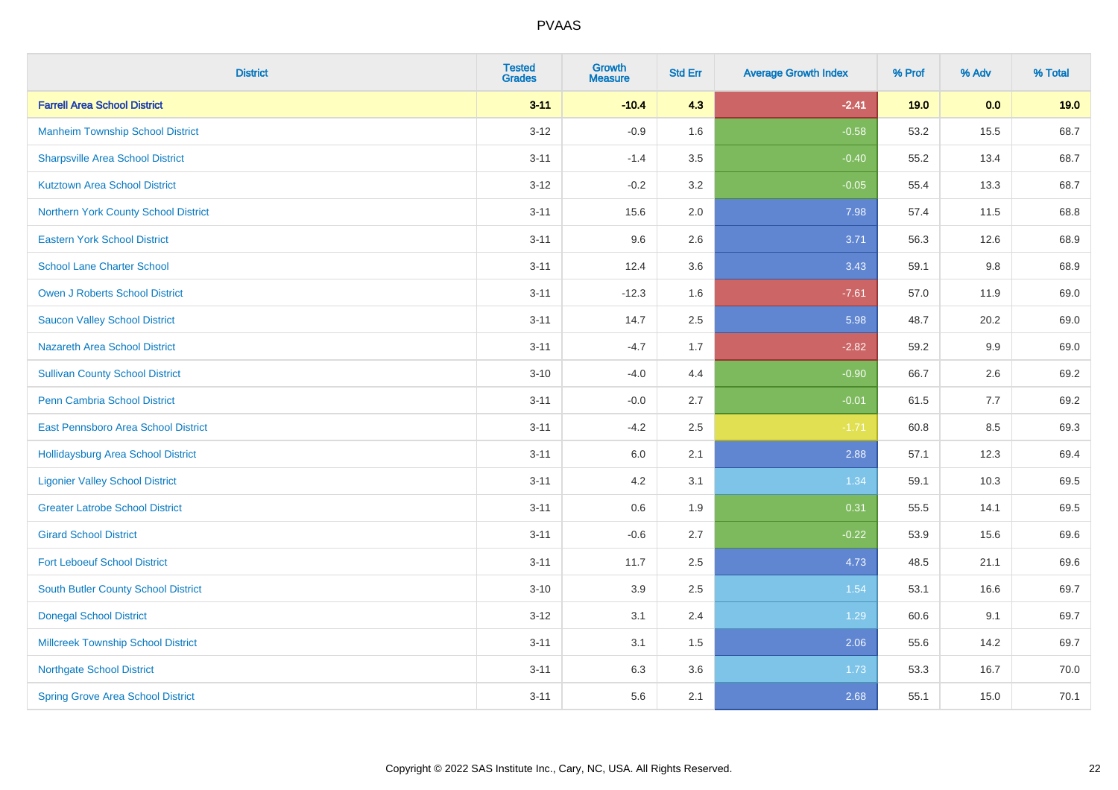| <b>District</b>                           | <b>Tested</b><br><b>Grades</b> | <b>Growth</b><br><b>Measure</b> | <b>Std Err</b> | <b>Average Growth Index</b> | % Prof | % Adv | % Total |
|-------------------------------------------|--------------------------------|---------------------------------|----------------|-----------------------------|--------|-------|---------|
| <b>Farrell Area School District</b>       | $3 - 11$                       | $-10.4$                         | 4.3            | $-2.41$                     | 19.0   | 0.0   | 19.0    |
| <b>Manheim Township School District</b>   | $3 - 12$                       | $-0.9$                          | 1.6            | $-0.58$                     | 53.2   | 15.5  | 68.7    |
| <b>Sharpsville Area School District</b>   | $3 - 11$                       | $-1.4$                          | 3.5            | $-0.40$                     | 55.2   | 13.4  | 68.7    |
| <b>Kutztown Area School District</b>      | $3 - 12$                       | $-0.2$                          | 3.2            | $-0.05$                     | 55.4   | 13.3  | 68.7    |
| Northern York County School District      | $3 - 11$                       | 15.6                            | 2.0            | 7.98                        | 57.4   | 11.5  | 68.8    |
| <b>Eastern York School District</b>       | $3 - 11$                       | 9.6                             | 2.6            | 3.71                        | 56.3   | 12.6  | 68.9    |
| <b>School Lane Charter School</b>         | $3 - 11$                       | 12.4                            | 3.6            | 3.43                        | 59.1   | 9.8   | 68.9    |
| <b>Owen J Roberts School District</b>     | $3 - 11$                       | $-12.3$                         | 1.6            | $-7.61$                     | 57.0   | 11.9  | 69.0    |
| <b>Saucon Valley School District</b>      | $3 - 11$                       | 14.7                            | 2.5            | 5.98                        | 48.7   | 20.2  | 69.0    |
| <b>Nazareth Area School District</b>      | $3 - 11$                       | $-4.7$                          | 1.7            | $-2.82$                     | 59.2   | 9.9   | 69.0    |
| <b>Sullivan County School District</b>    | $3 - 10$                       | $-4.0$                          | 4.4            | $-0.90$                     | 66.7   | 2.6   | 69.2    |
| Penn Cambria School District              | $3 - 11$                       | $-0.0$                          | 2.7            | $-0.01$                     | 61.5   | 7.7   | 69.2    |
| East Pennsboro Area School District       | $3 - 11$                       | $-4.2$                          | 2.5            | $-1.71$                     | 60.8   | 8.5   | 69.3    |
| <b>Hollidaysburg Area School District</b> | $3 - 11$                       | 6.0                             | 2.1            | 2.88                        | 57.1   | 12.3  | 69.4    |
| <b>Ligonier Valley School District</b>    | $3 - 11$                       | 4.2                             | 3.1            | 1.34                        | 59.1   | 10.3  | 69.5    |
| <b>Greater Latrobe School District</b>    | $3 - 11$                       | 0.6                             | 1.9            | 0.31                        | 55.5   | 14.1  | 69.5    |
| <b>Girard School District</b>             | $3 - 11$                       | $-0.6$                          | 2.7            | $-0.22$                     | 53.9   | 15.6  | 69.6    |
| <b>Fort Leboeuf School District</b>       | $3 - 11$                       | 11.7                            | 2.5            | 4.73                        | 48.5   | 21.1  | 69.6    |
| South Butler County School District       | $3 - 10$                       | 3.9                             | 2.5            | 1.54                        | 53.1   | 16.6  | 69.7    |
| <b>Donegal School District</b>            | $3 - 12$                       | 3.1                             | 2.4            | 1.29                        | 60.6   | 9.1   | 69.7    |
| <b>Millcreek Township School District</b> | $3 - 11$                       | 3.1                             | 1.5            | 2.06                        | 55.6   | 14.2  | 69.7    |
| <b>Northgate School District</b>          | $3 - 11$                       | 6.3                             | 3.6            | 1.73                        | 53.3   | 16.7  | 70.0    |
| <b>Spring Grove Area School District</b>  | $3 - 11$                       | 5.6                             | 2.1            | 2.68                        | 55.1   | 15.0  | 70.1    |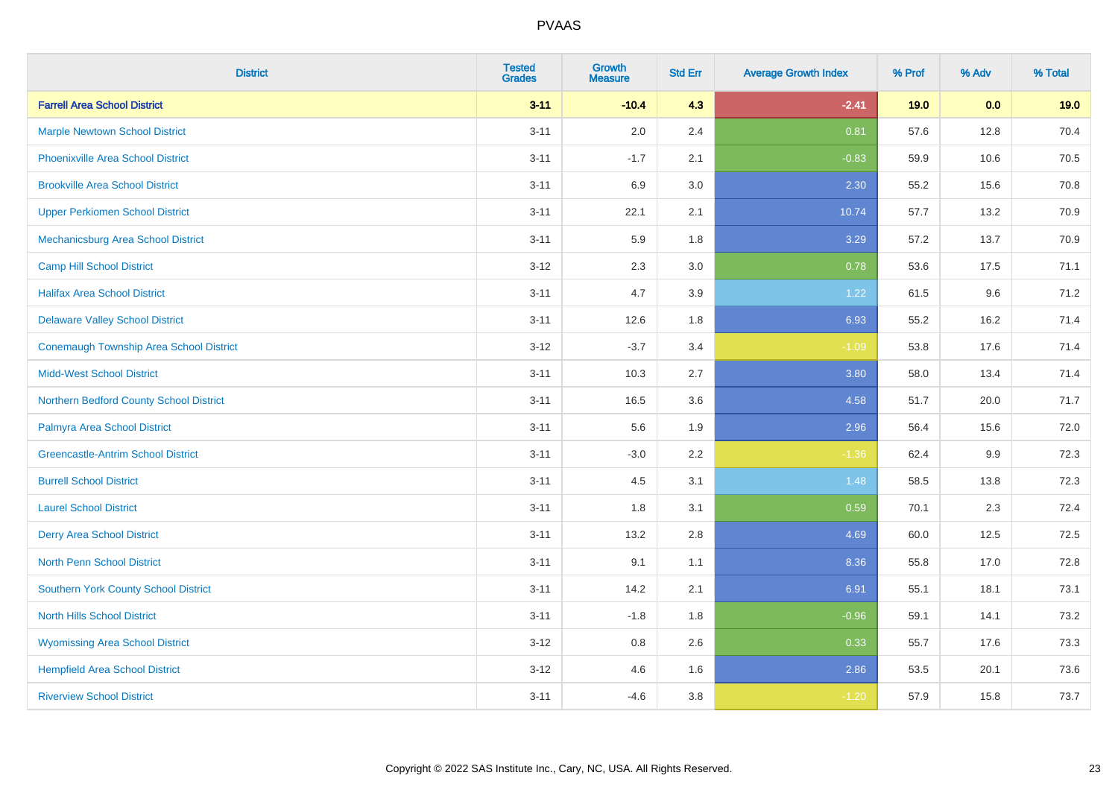| <b>District</b>                             | <b>Tested</b><br><b>Grades</b> | Growth<br><b>Measure</b> | <b>Std Err</b> | <b>Average Growth Index</b> | % Prof | % Adv | % Total |
|---------------------------------------------|--------------------------------|--------------------------|----------------|-----------------------------|--------|-------|---------|
| <b>Farrell Area School District</b>         | $3 - 11$                       | $-10.4$                  | 4.3            | $-2.41$                     | 19.0   | 0.0   | 19.0    |
| <b>Marple Newtown School District</b>       | $3 - 11$                       | 2.0                      | 2.4            | 0.81                        | 57.6   | 12.8  | 70.4    |
| <b>Phoenixville Area School District</b>    | $3 - 11$                       | $-1.7$                   | 2.1            | $-0.83$                     | 59.9   | 10.6  | 70.5    |
| <b>Brookville Area School District</b>      | $3 - 11$                       | 6.9                      | 3.0            | 2.30                        | 55.2   | 15.6  | 70.8    |
| <b>Upper Perkiomen School District</b>      | $3 - 11$                       | 22.1                     | 2.1            | 10.74                       | 57.7   | 13.2  | 70.9    |
| Mechanicsburg Area School District          | $3 - 11$                       | 5.9                      | 1.8            | 3.29                        | 57.2   | 13.7  | 70.9    |
| <b>Camp Hill School District</b>            | $3 - 12$                       | 2.3                      | 3.0            | 0.78                        | 53.6   | 17.5  | 71.1    |
| <b>Halifax Area School District</b>         | $3 - 11$                       | 4.7                      | 3.9            | 1.22                        | 61.5   | 9.6   | 71.2    |
| <b>Delaware Valley School District</b>      | $3 - 11$                       | 12.6                     | 1.8            | 6.93                        | 55.2   | 16.2  | 71.4    |
| Conemaugh Township Area School District     | $3 - 12$                       | $-3.7$                   | 3.4            | $-1.09$                     | 53.8   | 17.6  | 71.4    |
| <b>Midd-West School District</b>            | $3 - 11$                       | 10.3                     | 2.7            | 3.80                        | 58.0   | 13.4  | 71.4    |
| Northern Bedford County School District     | $3 - 11$                       | 16.5                     | 3.6            | 4.58                        | 51.7   | 20.0  | 71.7    |
| Palmyra Area School District                | $3 - 11$                       | 5.6                      | 1.9            | 2.96                        | 56.4   | 15.6  | 72.0    |
| <b>Greencastle-Antrim School District</b>   | $3 - 11$                       | $-3.0$                   | 2.2            | $-1.36$                     | 62.4   | 9.9   | 72.3    |
| <b>Burrell School District</b>              | $3 - 11$                       | 4.5                      | 3.1            | 1.48                        | 58.5   | 13.8  | 72.3    |
| <b>Laurel School District</b>               | $3 - 11$                       | 1.8                      | 3.1            | 0.59                        | 70.1   | 2.3   | 72.4    |
| <b>Derry Area School District</b>           | $3 - 11$                       | 13.2                     | 2.8            | 4.69                        | 60.0   | 12.5  | 72.5    |
| <b>North Penn School District</b>           | $3 - 11$                       | 9.1                      | 1.1            | 8.36                        | 55.8   | 17.0  | 72.8    |
| <b>Southern York County School District</b> | $3 - 11$                       | 14.2                     | 2.1            | 6.91                        | 55.1   | 18.1  | 73.1    |
| <b>North Hills School District</b>          | $3 - 11$                       | $-1.8$                   | 1.8            | $-0.96$                     | 59.1   | 14.1  | 73.2    |
| <b>Wyomissing Area School District</b>      | $3 - 12$                       | 0.8                      | 2.6            | 0.33                        | 55.7   | 17.6  | 73.3    |
| <b>Hempfield Area School District</b>       | $3 - 12$                       | 4.6                      | 1.6            | 2.86                        | 53.5   | 20.1  | 73.6    |
| <b>Riverview School District</b>            | $3 - 11$                       | $-4.6$                   | 3.8            | $-1.20$                     | 57.9   | 15.8  | 73.7    |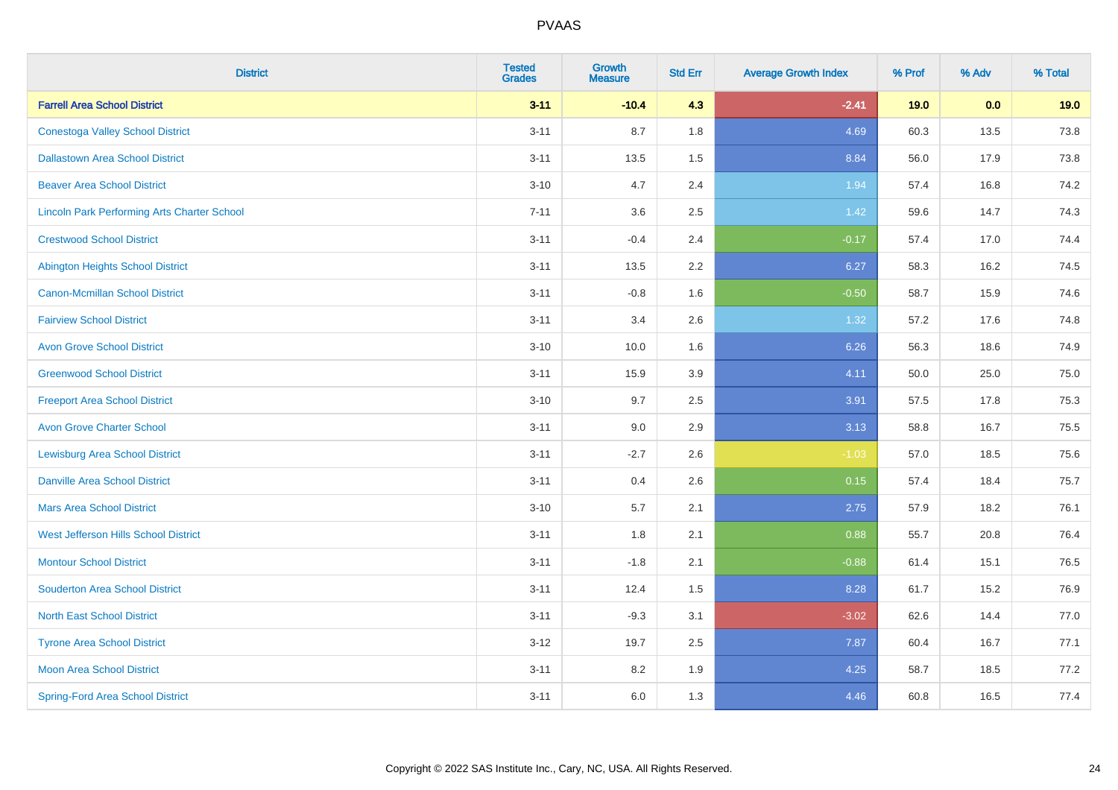| <b>District</b>                                    | <b>Tested</b><br><b>Grades</b> | <b>Growth</b><br><b>Measure</b> | <b>Std Err</b> | <b>Average Growth Index</b> | % Prof | % Adv | % Total |
|----------------------------------------------------|--------------------------------|---------------------------------|----------------|-----------------------------|--------|-------|---------|
| <b>Farrell Area School District</b>                | $3 - 11$                       | $-10.4$                         | 4.3            | $-2.41$                     | 19.0   | 0.0   | 19.0    |
| <b>Conestoga Valley School District</b>            | $3 - 11$                       | 8.7                             | 1.8            | 4.69                        | 60.3   | 13.5  | 73.8    |
| <b>Dallastown Area School District</b>             | $3 - 11$                       | 13.5                            | 1.5            | 8.84                        | 56.0   | 17.9  | 73.8    |
| <b>Beaver Area School District</b>                 | $3 - 10$                       | 4.7                             | 2.4            | 1.94                        | 57.4   | 16.8  | 74.2    |
| <b>Lincoln Park Performing Arts Charter School</b> | $7 - 11$                       | 3.6                             | 2.5            | 1.42                        | 59.6   | 14.7  | 74.3    |
| <b>Crestwood School District</b>                   | $3 - 11$                       | $-0.4$                          | 2.4            | $-0.17$                     | 57.4   | 17.0  | 74.4    |
| <b>Abington Heights School District</b>            | $3 - 11$                       | 13.5                            | 2.2            | 6.27                        | 58.3   | 16.2  | 74.5    |
| <b>Canon-Mcmillan School District</b>              | $3 - 11$                       | $-0.8$                          | 1.6            | $-0.50$                     | 58.7   | 15.9  | 74.6    |
| <b>Fairview School District</b>                    | $3 - 11$                       | 3.4                             | 2.6            | 1.32                        | 57.2   | 17.6  | 74.8    |
| <b>Avon Grove School District</b>                  | $3 - 10$                       | 10.0                            | 1.6            | 6.26                        | 56.3   | 18.6  | 74.9    |
| <b>Greenwood School District</b>                   | $3 - 11$                       | 15.9                            | 3.9            | 4.11                        | 50.0   | 25.0  | 75.0    |
| <b>Freeport Area School District</b>               | $3 - 10$                       | 9.7                             | 2.5            | 3.91                        | 57.5   | 17.8  | 75.3    |
| <b>Avon Grove Charter School</b>                   | $3 - 11$                       | 9.0                             | 2.9            | 3.13                        | 58.8   | 16.7  | 75.5    |
| <b>Lewisburg Area School District</b>              | $3 - 11$                       | $-2.7$                          | 2.6            | $-1.03$                     | 57.0   | 18.5  | 75.6    |
| <b>Danville Area School District</b>               | $3 - 11$                       | 0.4                             | 2.6            | 0.15                        | 57.4   | 18.4  | 75.7    |
| <b>Mars Area School District</b>                   | $3 - 10$                       | 5.7                             | 2.1            | 2.75                        | 57.9   | 18.2  | 76.1    |
| West Jefferson Hills School District               | $3 - 11$                       | 1.8                             | 2.1            | 0.88                        | 55.7   | 20.8  | 76.4    |
| <b>Montour School District</b>                     | $3 - 11$                       | $-1.8$                          | 2.1            | $-0.88$                     | 61.4   | 15.1  | 76.5    |
| <b>Souderton Area School District</b>              | $3 - 11$                       | 12.4                            | 1.5            | 8.28                        | 61.7   | 15.2  | 76.9    |
| <b>North East School District</b>                  | $3 - 11$                       | $-9.3$                          | 3.1            | $-3.02$                     | 62.6   | 14.4  | 77.0    |
| <b>Tyrone Area School District</b>                 | $3-12$                         | 19.7                            | 2.5            | 7.87                        | 60.4   | 16.7  | 77.1    |
| <b>Moon Area School District</b>                   | $3 - 11$                       | 8.2                             | 1.9            | 4.25                        | 58.7   | 18.5  | 77.2    |
| <b>Spring-Ford Area School District</b>            | $3 - 11$                       | 6.0                             | 1.3            | 4.46                        | 60.8   | 16.5  | 77.4    |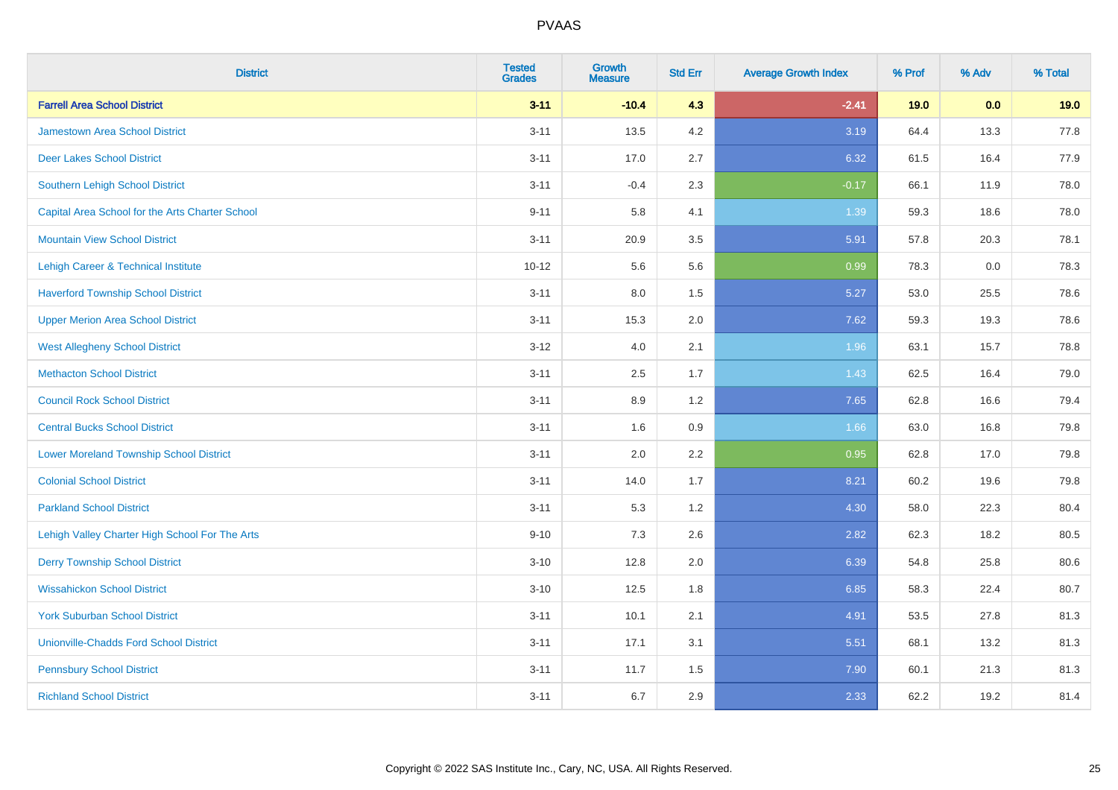| <b>District</b>                                 | <b>Tested</b><br><b>Grades</b> | <b>Growth</b><br><b>Measure</b> | <b>Std Err</b> | <b>Average Growth Index</b> | % Prof | % Adv | % Total |
|-------------------------------------------------|--------------------------------|---------------------------------|----------------|-----------------------------|--------|-------|---------|
| <b>Farrell Area School District</b>             | $3 - 11$                       | $-10.4$                         | 4.3            | $-2.41$                     | 19.0   | 0.0   | 19.0    |
| <b>Jamestown Area School District</b>           | $3 - 11$                       | 13.5                            | 4.2            | 3.19                        | 64.4   | 13.3  | 77.8    |
| <b>Deer Lakes School District</b>               | $3 - 11$                       | 17.0                            | 2.7            | 6.32                        | 61.5   | 16.4  | 77.9    |
| Southern Lehigh School District                 | $3 - 11$                       | $-0.4$                          | 2.3            | $-0.17$                     | 66.1   | 11.9  | 78.0    |
| Capital Area School for the Arts Charter School | $9 - 11$                       | 5.8                             | 4.1            | 1.39                        | 59.3   | 18.6  | 78.0    |
| <b>Mountain View School District</b>            | $3 - 11$                       | 20.9                            | 3.5            | 5.91                        | 57.8   | 20.3  | 78.1    |
| Lehigh Career & Technical Institute             | $10 - 12$                      | 5.6                             | 5.6            | 0.99                        | 78.3   | 0.0   | 78.3    |
| <b>Haverford Township School District</b>       | $3 - 11$                       | 8.0                             | 1.5            | 5.27                        | 53.0   | 25.5  | 78.6    |
| <b>Upper Merion Area School District</b>        | $3 - 11$                       | 15.3                            | 2.0            | 7.62                        | 59.3   | 19.3  | 78.6    |
| <b>West Allegheny School District</b>           | $3 - 12$                       | 4.0                             | 2.1            | 1.96                        | 63.1   | 15.7  | 78.8    |
| <b>Methacton School District</b>                | $3 - 11$                       | 2.5                             | 1.7            | 1.43                        | 62.5   | 16.4  | 79.0    |
| <b>Council Rock School District</b>             | $3 - 11$                       | 8.9                             | 1.2            | 7.65                        | 62.8   | 16.6  | 79.4    |
| <b>Central Bucks School District</b>            | $3 - 11$                       | 1.6                             | 0.9            | 1.66                        | 63.0   | 16.8  | 79.8    |
| <b>Lower Moreland Township School District</b>  | $3 - 11$                       | 2.0                             | 2.2            | 0.95                        | 62.8   | 17.0  | 79.8    |
| <b>Colonial School District</b>                 | $3 - 11$                       | 14.0                            | 1.7            | 8.21                        | 60.2   | 19.6  | 79.8    |
| <b>Parkland School District</b>                 | $3 - 11$                       | 5.3                             | 1.2            | 4.30                        | 58.0   | 22.3  | 80.4    |
| Lehigh Valley Charter High School For The Arts  | $9 - 10$                       | 7.3                             | 2.6            | 2.82                        | 62.3   | 18.2  | 80.5    |
| <b>Derry Township School District</b>           | $3 - 10$                       | 12.8                            | 2.0            | 6.39                        | 54.8   | 25.8  | 80.6    |
| <b>Wissahickon School District</b>              | $3 - 10$                       | 12.5                            | 1.8            | 6.85                        | 58.3   | 22.4  | 80.7    |
| <b>York Suburban School District</b>            | $3 - 11$                       | 10.1                            | 2.1            | 4.91                        | 53.5   | 27.8  | 81.3    |
| <b>Unionville-Chadds Ford School District</b>   | $3 - 11$                       | 17.1                            | 3.1            | 5.51                        | 68.1   | 13.2  | 81.3    |
| <b>Pennsbury School District</b>                | $3 - 11$                       | 11.7                            | 1.5            | 7.90                        | 60.1   | 21.3  | 81.3    |
| <b>Richland School District</b>                 | $3 - 11$                       | 6.7                             | 2.9            | 2.33                        | 62.2   | 19.2  | 81.4    |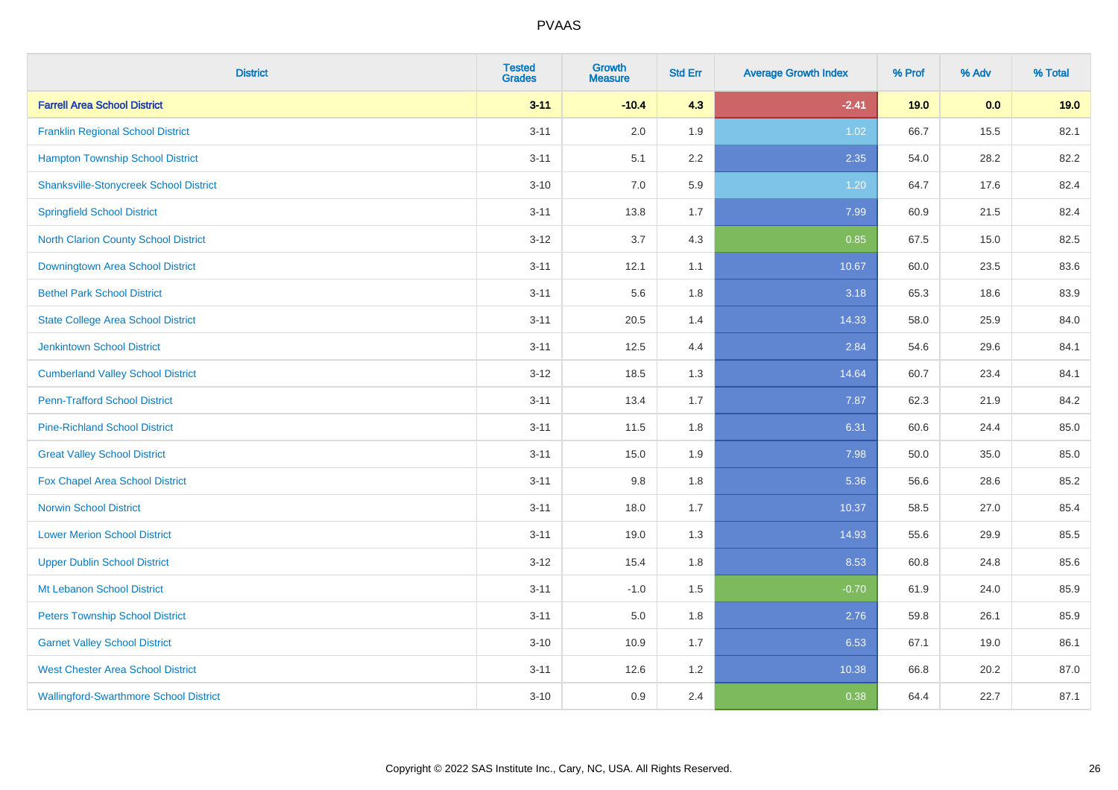| <b>District</b>                               | <b>Tested</b><br><b>Grades</b> | <b>Growth</b><br><b>Measure</b> | <b>Std Err</b> | <b>Average Growth Index</b> | % Prof | % Adv | % Total |
|-----------------------------------------------|--------------------------------|---------------------------------|----------------|-----------------------------|--------|-------|---------|
| <b>Farrell Area School District</b>           | $3 - 11$                       | $-10.4$                         | 4.3            | $-2.41$                     | 19.0   | 0.0   | 19.0    |
| <b>Franklin Regional School District</b>      | $3 - 11$                       | 2.0                             | 1.9            | 1.02                        | 66.7   | 15.5  | 82.1    |
| <b>Hampton Township School District</b>       | $3 - 11$                       | 5.1                             | 2.2            | 2.35                        | 54.0   | 28.2  | 82.2    |
| <b>Shanksville-Stonycreek School District</b> | $3 - 10$                       | 7.0                             | 5.9            | 1.20                        | 64.7   | 17.6  | 82.4    |
| <b>Springfield School District</b>            | $3 - 11$                       | 13.8                            | 1.7            | 7.99                        | 60.9   | 21.5  | 82.4    |
| <b>North Clarion County School District</b>   | $3 - 12$                       | 3.7                             | 4.3            | 0.85                        | 67.5   | 15.0  | 82.5    |
| <b>Downingtown Area School District</b>       | $3 - 11$                       | 12.1                            | 1.1            | 10.67                       | 60.0   | 23.5  | 83.6    |
| <b>Bethel Park School District</b>            | $3 - 11$                       | 5.6                             | 1.8            | 3.18                        | 65.3   | 18.6  | 83.9    |
| <b>State College Area School District</b>     | $3 - 11$                       | 20.5                            | 1.4            | 14.33                       | 58.0   | 25.9  | 84.0    |
| <b>Jenkintown School District</b>             | $3 - 11$                       | 12.5                            | 4.4            | 2.84                        | 54.6   | 29.6  | 84.1    |
| <b>Cumberland Valley School District</b>      | $3 - 12$                       | 18.5                            | 1.3            | 14.64                       | 60.7   | 23.4  | 84.1    |
| <b>Penn-Trafford School District</b>          | $3 - 11$                       | 13.4                            | 1.7            | 7.87                        | 62.3   | 21.9  | 84.2    |
| <b>Pine-Richland School District</b>          | $3 - 11$                       | 11.5                            | 1.8            | 6.31                        | 60.6   | 24.4  | 85.0    |
| <b>Great Valley School District</b>           | $3 - 11$                       | 15.0                            | 1.9            | 7.98                        | 50.0   | 35.0  | 85.0    |
| Fox Chapel Area School District               | $3 - 11$                       | 9.8                             | 1.8            | 5.36                        | 56.6   | 28.6  | 85.2    |
| <b>Norwin School District</b>                 | $3 - 11$                       | 18.0                            | 1.7            | 10.37                       | 58.5   | 27.0  | 85.4    |
| <b>Lower Merion School District</b>           | $3 - 11$                       | 19.0                            | 1.3            | 14.93                       | 55.6   | 29.9  | 85.5    |
| <b>Upper Dublin School District</b>           | $3 - 12$                       | 15.4                            | 1.8            | 8.53                        | 60.8   | 24.8  | 85.6    |
| Mt Lebanon School District                    | $3 - 11$                       | $-1.0$                          | 1.5            | $-0.70$                     | 61.9   | 24.0  | 85.9    |
| <b>Peters Township School District</b>        | $3 - 11$                       | 5.0                             | 1.8            | 2.76                        | 59.8   | 26.1  | 85.9    |
| <b>Garnet Valley School District</b>          | $3 - 10$                       | 10.9                            | 1.7            | 6.53                        | 67.1   | 19.0  | 86.1    |
| <b>West Chester Area School District</b>      | $3 - 11$                       | 12.6                            | 1.2            | 10.38                       | 66.8   | 20.2  | 87.0    |
| <b>Wallingford-Swarthmore School District</b> | $3 - 10$                       | 0.9                             | 2.4            | 0.38                        | 64.4   | 22.7  | 87.1    |